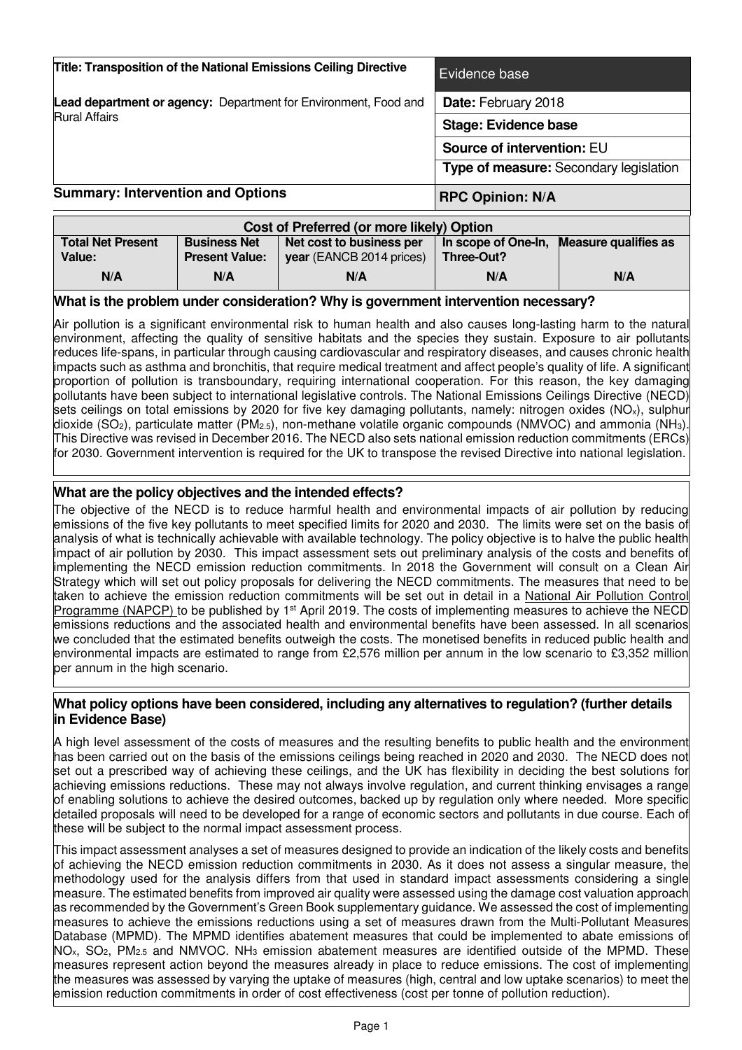| <b>Title: Transposition of the National Emissions Ceiling Directive</b> | Evidence base                          |
|-------------------------------------------------------------------------|----------------------------------------|
| <b>Lead department or agency:</b> Department for Environment, Food and  | Date: February 2018                    |
| <b>Rural Affairs</b>                                                    | <b>Stage: Evidence base</b>            |
|                                                                         | Source of intervention: EU             |
|                                                                         | Type of measure: Secondary legislation |
| <b>Summary: Intervention and Options</b>                                | <b>RPC Opinion: N/A</b>                |

| Cost of Preferred (or more likely) Option |                       |                                 |            |                                          |
|-------------------------------------------|-----------------------|---------------------------------|------------|------------------------------------------|
| <b>Total Net Present</b>                  | <b>Business Net</b>   | Net cost to business per        |            | In scope of One-In, Measure qualifies as |
| Value:                                    | <b>Present Value:</b> | <b>year</b> (EANCB 2014 prices) | Three-Out? |                                          |
| N/A                                       | N/A                   | N/A                             | N/A        | N/A                                      |

### **What is the problem under consideration? Why is government intervention necessary?**

Air pollution is a significant environmental risk to human health and also causes long-lasting harm to the natural environment, affecting the quality of sensitive habitats and the species they sustain. Exposure to air pollutants reduces life-spans, in particular through causing cardiovascular and respiratory diseases, and causes chronic health impacts such as asthma and bronchitis, that require medical treatment and affect people's quality of life. A significant proportion of pollution is transboundary, requiring international cooperation. For this reason, the key damaging pollutants have been subject to international legislative controls. The National Emissions Ceilings Directive (NECD) sets ceilings on total emissions by 2020 for five key damaging pollutants, namely: nitrogen oxides (NO<sub>x</sub>), sulphur dioxide (SO2), particulate matter (PM2.5), non-methane volatile organic compounds (NMVOC) and ammonia (NH3). This Directive was revised in December 2016. The NECD also sets national emission reduction commitments (ERCs) for 2030. Government intervention is required for the UK to transpose the revised Directive into national legislation.

## **What are the policy objectives and the intended effects?**

The objective of the NECD is to reduce harmful health and environmental impacts of air pollution by reducing emissions of the five key pollutants to meet specified limits for 2020 and 2030. The limits were set on the basis of analysis of what is technically achievable with available technology. The policy objective is to halve the public health impact of air pollution by 2030. This impact assessment sets out preliminary analysis of the costs and benefits of implementing the NECD emission reduction commitments. In 2018 the Government will consult on a Clean Air Strategy which will set out policy proposals for delivering the NECD commitments. The measures that need to be taken to achieve the emission reduction commitments will be set out in detail in a National Air Pollution Control Programme (NAPCP) to be published by 1<sup>st</sup> April 2019. The costs of implementing measures to achieve the NECD emissions reductions and the associated health and environmental benefits have been assessed. In all scenarios we concluded that the estimated benefits outweigh the costs. The monetised benefits in reduced public health and environmental impacts are estimated to range from £2,576 million per annum in the low scenario to £3,352 million per annum in the high scenario.

### **What policy options have been considered, including any alternatives to regulation? (further details in Evidence Base)**

A high level assessment of the costs of measures and the resulting benefits to public health and the environment has been carried out on the basis of the emissions ceilings being reached in 2020 and 2030. The NECD does not set out a prescribed way of achieving these ceilings, and the UK has flexibility in deciding the best solutions for achieving emissions reductions. These may not always involve regulation, and current thinking envisages a range of enabling solutions to achieve the desired outcomes, backed up by regulation only where needed. More specific detailed proposals will need to be developed for a range of economic sectors and pollutants in due course. Each of these will be subject to the normal impact assessment process.

This impact assessment analyses a set of measures designed to provide an indication of the likely costs and benefits of achieving the NECD emission reduction commitments in 2030. As it does not assess a singular measure, the methodology used for the analysis differs from that used in standard impact assessments considering a single measure. The estimated benefits from improved air quality were assessed using the damage cost valuation approach as recommended by the Government's Green Book supplementary guidance. We assessed the cost of implementing measures to achieve the emissions reductions using a set of measures drawn from the Multi-Pollutant Measures Database (MPMD). The MPMD identifies abatement measures that could be implemented to abate emissions of NO<sub>x</sub>, SO<sub>2</sub>, PM<sub>2.5</sub> and NMVOC. NH<sub>3</sub> emission abatement measures are identified outside of the MPMD. These measures represent action beyond the measures already in place to reduce emissions. The cost of implementing the measures was assessed by varying the uptake of measures (high, central and low uptake scenarios) to meet the emission reduction commitments in order of cost effectiveness (cost per tonne of pollution reduction).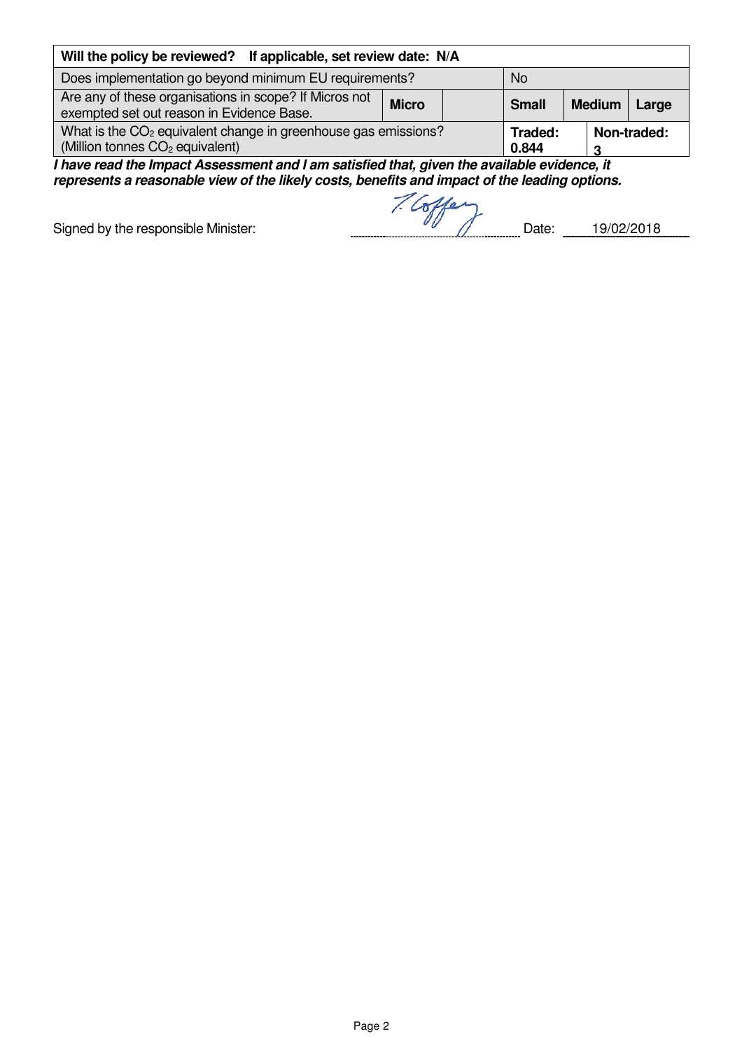| Will the policy be reviewed? If applicable, set review date: N/A                                                          |  |                  |               |             |
|---------------------------------------------------------------------------------------------------------------------------|--|------------------|---------------|-------------|
| Does implementation go beyond minimum EU requirements?                                                                    |  | <b>No</b>        |               |             |
| Are any of these organisations in scope? If Micros not<br><b>Micro</b><br>exempted set out reason in Evidence Base.       |  | <b>Small</b>     | <b>Medium</b> | Large       |
| What is the CO <sub>2</sub> equivalent change in greenhouse gas emissions?<br>(Million tonnes CO <sub>2</sub> equivalent) |  | Traded:<br>0.844 |               | Non-traded: |

**I have read the Impact Assessment and I am satisfied that, given the available evidence, it represents a reasonable view of the likely costs, benefits and impact of the leading options.** 

Signed by the responsible Minister: Date: 19/02/2018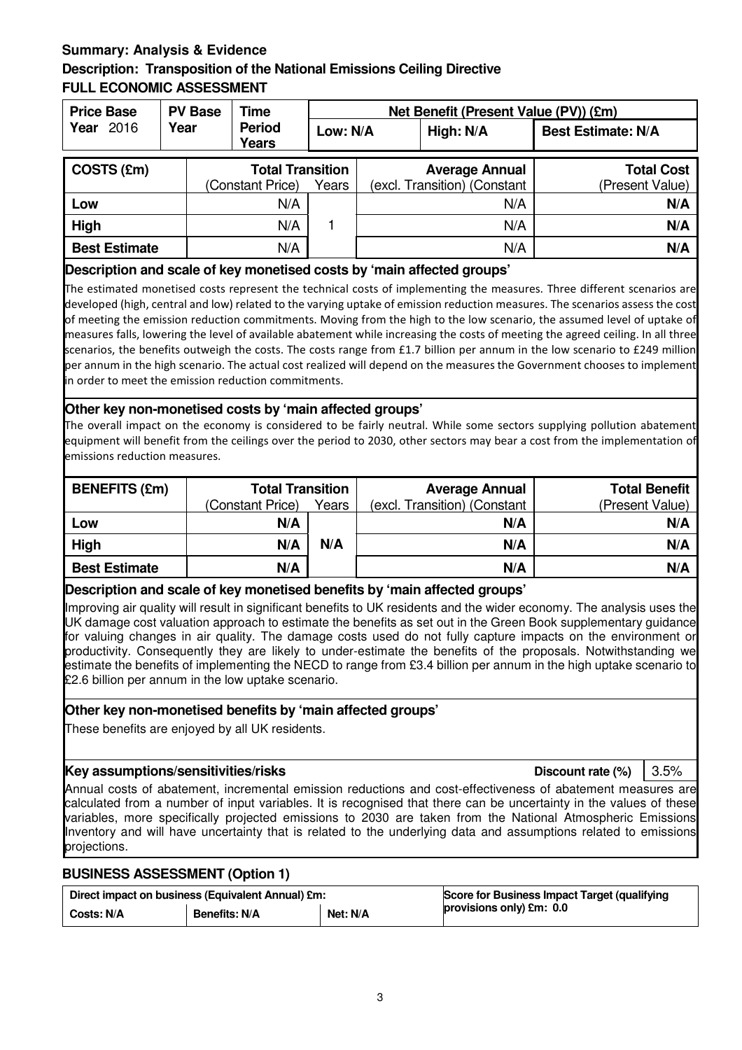## **Summary: Analysis & Evidence Description: Transposition of the National Emissions Ceiling Directive FULL ECONOMIC ASSESSMENT**

| <b>Price Base</b>    | <b>PV Base</b> | Time                          |       | Net Benefit (Present Value (PV)) (£m) |                              |                           |
|----------------------|----------------|-------------------------------|-------|---------------------------------------|------------------------------|---------------------------|
| Year 2016            | Year           | <b>Period</b><br><b>Years</b> |       | High: N/A<br>Low: N/A                 |                              | <b>Best Estimate: N/A</b> |
| COSTS (£m)           |                | <b>Total Transition</b>       |       |                                       | <b>Average Annual</b>        | <b>Total Cost</b>         |
|                      |                | (Constant Price)              | Years |                                       | (excl. Transition) (Constant | (Present Value)           |
| Low                  |                | N/A                           |       |                                       | N/A                          | N/A                       |
| High                 |                | N/A                           |       |                                       | N/A                          | N/A                       |
| <b>Best Estimate</b> |                | N/A                           |       |                                       | N/A                          | N/A                       |

### **Description and scale of key monetised costs by 'main affected groups'**

The estimated monetised costs represent the technical costs of implementing the measures. Three different scenarios are developed (high, central and low) related to the varying uptake of emission reduction measures. The scenarios assess the cost of meeting the emission reduction commitments. Moving from the high to the low scenario, the assumed level of uptake of measures falls, lowering the level of available abatement while increasing the costs of meeting the agreed ceiling. In all three scenarios, the benefits outweigh the costs. The costs range from £1.7 billion per annum in the low scenario to £249 million per annum in the high scenario. The actual cost realized will depend on the measures the Government chooses to implement in order to meet the emission reduction commitments.

## **Other key non-monetised costs by 'main affected groups'**

The overall impact on the economy is considered to be fairly neutral. While some sectors supplying pollution abatement equipment will benefit from the ceilings over the period to 2030, other sectors may bear a cost from the implementation of emissions reduction measures.

| <b>BENEFITS (£m)</b> | <b>Total Transition</b> |       | <b>Average Annual</b>        | <b>Total Benefit</b> |
|----------------------|-------------------------|-------|------------------------------|----------------------|
|                      | (Constant Price)        | Years | (excl. Transition) (Constant | (Present Value)      |
| Low                  | N/A                     |       | N/A                          | N/A                  |
| High                 | N/A                     | N/A   | N/A                          | N/A                  |
| <b>Best Estimate</b> | N/A                     |       | N/A                          | N/A                  |

## **Description and scale of key monetised benefits by 'main affected groups'**

Improving air quality will result in significant benefits to UK residents and the wider economy. The analysis uses the UK damage cost valuation approach to estimate the benefits as set out in the Green Book supplementary guidance for valuing changes in air quality. The damage costs used do not fully capture impacts on the environment or productivity. Consequently they are likely to under-estimate the benefits of the proposals. Notwithstanding we estimate the benefits of implementing the NECD to range from £3.4 billion per annum in the high uptake scenario to £2.6 billion per annum in the low uptake scenario.

## **Other key non-monetised benefits by 'main affected groups'**

These benefits are enjoyed by all UK residents.

### **Key assumptions/sensitivities/risks Discount rate (%)** 3.5%

Annual costs of abatement, incremental emission reductions and cost-effectiveness of abatement measures are calculated from a number of input variables. It is recognised that there can be uncertainty in the values of these variables, more specifically projected emissions to 2030 are taken from the National Atmospheric Emissions Inventory and will have uncertainty that is related to the underlying data and assumptions related to emissions projections.

## **BUSINESS ASSESSMENT (Option 1)**

| Direct impact on business (Equivalent Annual) £m: |               | Score for Business Impact Target (qualifying |                          |
|---------------------------------------------------|---------------|----------------------------------------------|--------------------------|
| Costs: N/A                                        | Benefits: N/A | Net: N/A                                     | provisions only) £m: 0.0 |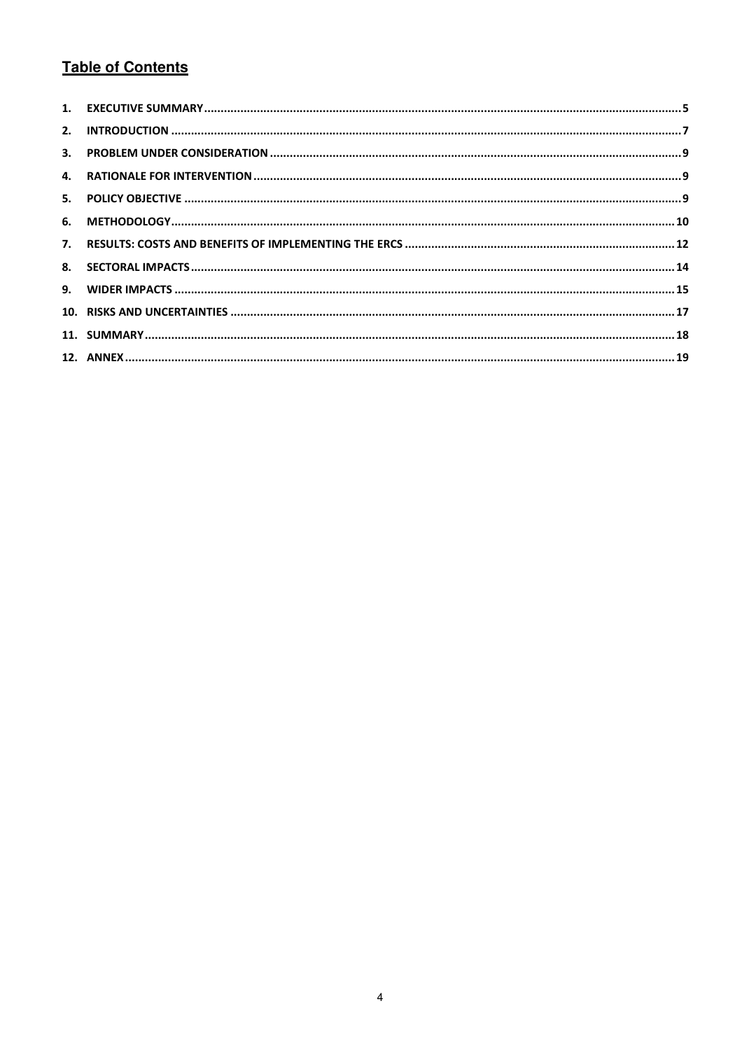## **Table of Contents**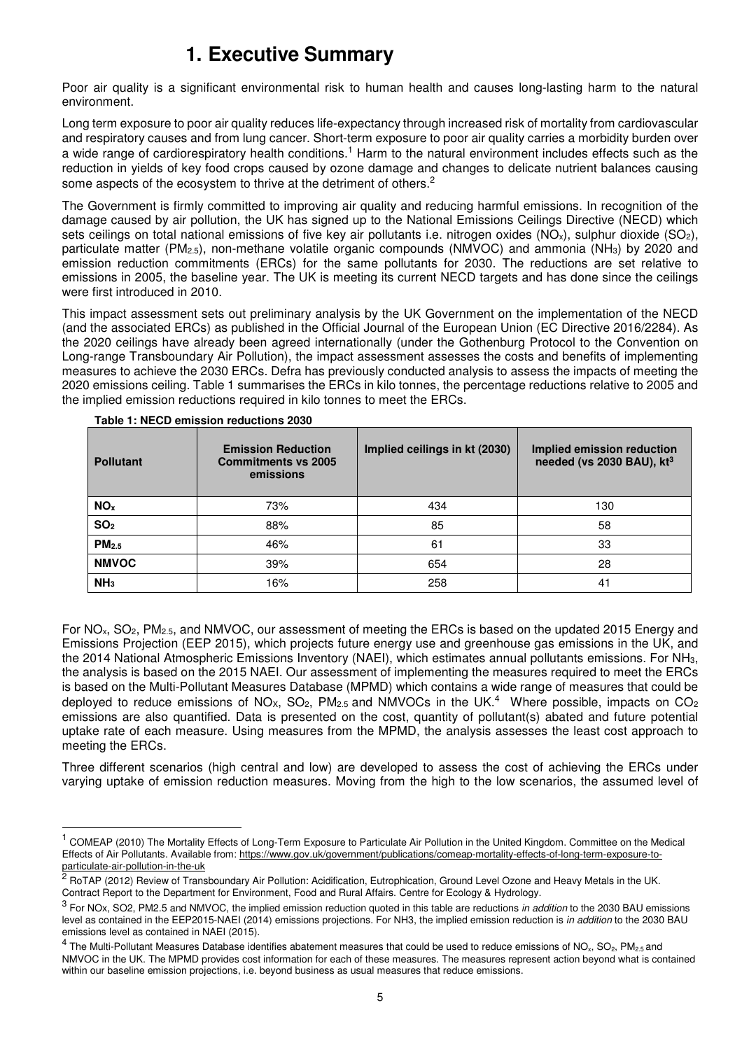# **1. Executive Summary**

Poor air quality is a significant environmental risk to human health and causes long-lasting harm to the natural environment.

Long term exposure to poor air quality reduces life-expectancy through increased risk of mortality from cardiovascular and respiratory causes and from lung cancer. Short-term exposure to poor air quality carries a morbidity burden over a wide range of cardiorespiratory health conditions.<sup>1</sup> Harm to the natural environment includes effects such as the reduction in yields of key food crops caused by ozone damage and changes to delicate nutrient balances causing some aspects of the ecosystem to thrive at the detriment of others.<sup>2</sup>

The Government is firmly committed to improving air quality and reducing harmful emissions. In recognition of the damage caused by air pollution, the UK has signed up to the National Emissions Ceilings Directive (NECD) which sets ceilings on total national emissions of five key air pollutants i.e. nitrogen oxides (NO<sub>x</sub>), sulphur dioxide (SO<sub>2</sub>), particulate matter (PM2.5), non-methane volatile organic compounds (NMVOC) and ammonia (NH3) by 2020 and emission reduction commitments (ERCs) for the same pollutants for 2030. The reductions are set relative to emissions in 2005, the baseline year. The UK is meeting its current NECD targets and has done since the ceilings were first introduced in 2010.

This impact assessment sets out preliminary analysis by the UK Government on the implementation of the NECD (and the associated ERCs) as published in the Official Journal of the European Union (EC Directive 2016/2284). As the 2020 ceilings have already been agreed internationally (under the Gothenburg Protocol to the Convention on Long-range Transboundary Air Pollution), the impact assessment assesses the costs and benefits of implementing measures to achieve the 2030 ERCs. Defra has previously conducted analysis to assess the impacts of meeting the 2020 emissions ceiling. Table 1 summarises the ERCs in kilo tonnes, the percentage reductions relative to 2005 and the implied emission reductions required in kilo tonnes to meet the ERCs.

| <b>Pollutant</b>  | <b>Emission Reduction</b><br><b>Commitments vs 2005</b><br>emissions | Implied ceilings in kt (2030) | Implied emission reduction<br>needed (vs 2030 BAU), kt <sup>3</sup> |
|-------------------|----------------------------------------------------------------------|-------------------------------|---------------------------------------------------------------------|
| NO <sub>x</sub>   | 73%                                                                  | 434                           | 130                                                                 |
| SO <sub>2</sub>   | 88%                                                                  | 85                            | 58                                                                  |
| PM <sub>2.5</sub> | 46%                                                                  | 61                            | 33                                                                  |
| <b>NMVOC</b>      | 39%                                                                  | 654                           | 28                                                                  |
| NH <sub>3</sub>   | 16%                                                                  | 258                           | 41                                                                  |

**Table 1: NECD emission reductions 2030** 

l

For NOx, SO2, PM2.5, and NMVOC, our assessment of meeting the ERCs is based on the updated 2015 Energy and Emissions Projection (EEP 2015), which projects future energy use and greenhouse gas emissions in the UK, and the 2014 National Atmospheric Emissions Inventory (NAEI), which estimates annual pollutants emissions. For NH3, the analysis is based on the 2015 NAEI. Our assessment of implementing the measures required to meet the ERCs is based on the Multi-Pollutant Measures Database (MPMD) which contains a wide range of measures that could be deployed to reduce emissions of NO<sub>X</sub>, SO<sub>2</sub>, PM<sub>2.5</sub> and NMVOCs in the UK.<sup>4</sup> Where possible, impacts on CO<sub>2</sub> emissions are also quantified. Data is presented on the cost, quantity of pollutant(s) abated and future potential uptake rate of each measure. Using measures from the MPMD, the analysis assesses the least cost approach to meeting the ERCs.

Three different scenarios (high central and low) are developed to assess the cost of achieving the ERCs under varying uptake of emission reduction measures. Moving from the high to the low scenarios, the assumed level of

<sup>&</sup>lt;sup>1</sup> COMEAP (2010) The Mortality Effects of Long-Term Exposure to Particulate Air Pollution in the United Kingdom. Committee on the Medical Effects of Air Pollutants. Available from: https://www.gov.uk/government/publications/comeap-mortality-effects-of-long-term-exposure-toparticulate-air-pollution-in-the-uk

<sup>&</sup>lt;sup>2</sup> RoTAP (2012) Review of Transboundary Air Pollution: Acidification, Eutrophication, Ground Level Ozone and Heavy Metals in the UK. Contract Report to the Department for Environment, Food and Rural Affairs. Centre for Ecology & Hydrology.

 $^3$  For NOx, SO2, PM2.5 and NMVOC, the implied emission reduction quoted in this table are reductions in addition to the 2030 BAU emissions level as contained in the EEP2015-NAEI (2014) emissions projections. For NH3, the implied emission reduction is in addition to the 2030 BAU emissions level as contained in NAEI (2015).

 $^4$  The Multi-Pollutant Measures Database identifies abatement measures that could be used to reduce emissions of NO<sub>x</sub>, SO<sub>2</sub>, PM<sub>2.5</sub> and NMVOC in the UK. The MPMD provides cost information for each of these measures. The measures represent action beyond what is contained within our baseline emission projections, i.e. beyond business as usual measures that reduce emissions.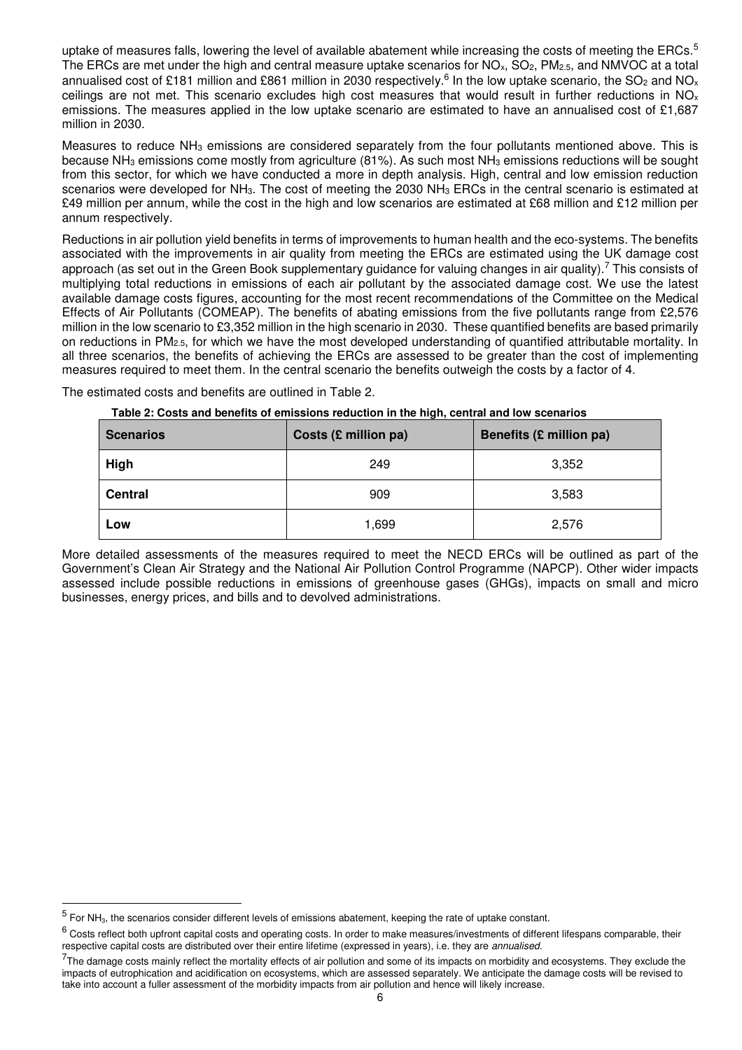uptake of measures falls, lowering the level of available abatement while increasing the costs of meeting the ERCs.<sup>5</sup> The ERCs are met under the high and central measure uptake scenarios for  $NO<sub>x</sub>$ ,  $SO<sub>2</sub>$ ,  $PM<sub>2.5</sub>$ , and NMVOC at a total annualised cost of £181 million and £861 million in 2030 respectively.<sup>6</sup> In the low uptake scenario, the SO<sub>2</sub> and NO<sub>x</sub> ceilings are not met. This scenario excludes high cost measures that would result in further reductions in NO<sub>x</sub> emissions. The measures applied in the low uptake scenario are estimated to have an annualised cost of £1,687 million in 2030.

Measures to reduce NH3 emissions are considered separately from the four pollutants mentioned above. This is because NH3 emissions come mostly from agriculture (81%). As such most NH3 emissions reductions will be sought from this sector, for which we have conducted a more in depth analysis. High, central and low emission reduction scenarios were developed for NH<sub>3</sub>. The cost of meeting the 2030 NH<sub>3</sub> ERCs in the central scenario is estimated at £49 million per annum, while the cost in the high and low scenarios are estimated at £68 million and £12 million per annum respectively.

Reductions in air pollution yield benefits in terms of improvements to human health and the eco-systems. The benefits associated with the improvements in air quality from meeting the ERCs are estimated using the UK damage cost approach (as set out in the Green Book supplementary guidance for valuing changes in air quality).<sup>7</sup> This consists of multiplying total reductions in emissions of each air pollutant by the associated damage cost. We use the latest available damage costs figures, accounting for the most recent recommendations of the Committee on the Medical Effects of Air Pollutants (COMEAP). The benefits of abating emissions from the five pollutants range from £2,576 million in the low scenario to £3,352 million in the high scenario in 2030. These quantified benefits are based primarily on reductions in PM2.5, for which we have the most developed understanding of quantified attributable mortality. In all three scenarios, the benefits of achieving the ERCs are assessed to be greater than the cost of implementing measures required to meet them. In the central scenario the benefits outweigh the costs by a factor of 4.

The estimated costs and benefits are outlined in Table 2.

| Table 2: Costs and benefits of emissions reduction in the high, central and low scenarios |  |
|-------------------------------------------------------------------------------------------|--|
|-------------------------------------------------------------------------------------------|--|

| <b>Scenarios</b> | Costs (£ million pa) | Benefits (£ million pa) |
|------------------|----------------------|-------------------------|
| High             | 249                  | 3,352                   |
| <b>Central</b>   | 909                  | 3,583                   |
| Low              | 1,699                | 2,576                   |

More detailed assessments of the measures required to meet the NECD ERCs will be outlined as part of the Government's Clean Air Strategy and the National Air Pollution Control Programme (NAPCP). Other wider impacts assessed include possible reductions in emissions of greenhouse gases (GHGs), impacts on small and micro businesses, energy prices, and bills and to devolved administrations.

-

 $<sup>5</sup>$  For NH<sub>3</sub>, the scenarios consider different levels of emissions abatement, keeping the rate of uptake constant.</sup>

 $^6$  Costs reflect both upfront capital costs and operating costs. In order to make measures/investments of different lifespans comparable, their respective capital costs are distributed over their entire lifetime (expressed in years), i.e. they are annualised.

 $^{7}$ The damage costs mainly reflect the mortality effects of air pollution and some of its impacts on morbidity and ecosystems. They exclude the impacts of eutrophication and acidification on ecosystems, which are assessed separately. We anticipate the damage costs will be revised to take into account a fuller assessment of the morbidity impacts from air pollution and hence will likely increase.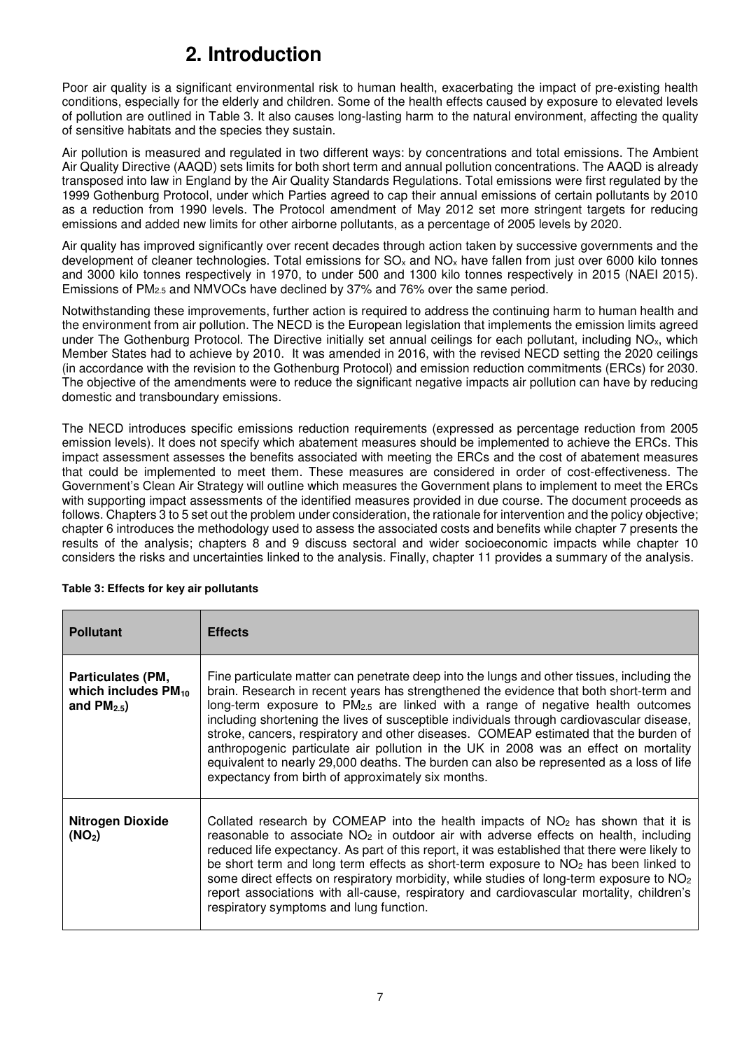# **2. Introduction**

Poor air quality is a significant environmental risk to human health, exacerbating the impact of pre-existing health conditions, especially for the elderly and children. Some of the health effects caused by exposure to elevated levels of pollution are outlined in Table 3. It also causes long-lasting harm to the natural environment, affecting the quality of sensitive habitats and the species they sustain.

Air pollution is measured and regulated in two different ways: by concentrations and total emissions. The Ambient Air Quality Directive (AAQD) sets limits for both short term and annual pollution concentrations. The AAQD is already transposed into law in England by the Air Quality Standards Regulations. Total emissions were first regulated by the 1999 Gothenburg Protocol, under which Parties agreed to cap their annual emissions of certain pollutants by 2010 as a reduction from 1990 levels. The Protocol amendment of May 2012 set more stringent targets for reducing emissions and added new limits for other airborne pollutants, as a percentage of 2005 levels by 2020.

Air quality has improved significantly over recent decades through action taken by successive governments and the development of cleaner technologies. Total emissions for  $SO_x$  and  $NO_x$  have fallen from just over 6000 kilo tonnes and 3000 kilo tonnes respectively in 1970, to under 500 and 1300 kilo tonnes respectively in 2015 (NAEI 2015). Emissions of  $PM_{2.5}$  and NMVOCs have declined by 37% and 76% over the same period.

Notwithstanding these improvements, further action is required to address the continuing harm to human health and the environment from air pollution. The NECD is the European legislation that implements the emission limits agreed under The Gothenburg Protocol. The Directive initially set annual ceilings for each pollutant, including  $NO<sub>x</sub>$ , which Member States had to achieve by 2010. It was amended in 2016, with the revised NECD setting the 2020 ceilings (in accordance with the revision to the Gothenburg Protocol) and emission reduction commitments (ERCs) for 2030. The objective of the amendments were to reduce the significant negative impacts air pollution can have by reducing domestic and transboundary emissions.

The NECD introduces specific emissions reduction requirements (expressed as percentage reduction from 2005 emission levels). It does not specify which abatement measures should be implemented to achieve the ERCs. This impact assessment assesses the benefits associated with meeting the ERCs and the cost of abatement measures that could be implemented to meet them. These measures are considered in order of cost-effectiveness. The Government's Clean Air Strategy will outline which measures the Government plans to implement to meet the ERCs with supporting impact assessments of the identified measures provided in due course. The document proceeds as follows. Chapters 3 to 5 set out the problem under consideration, the rationale for intervention and the policy objective; chapter 6 introduces the methodology used to assess the associated costs and benefits while chapter 7 presents the results of the analysis; chapters 8 and 9 discuss sectoral and wider socioeconomic impacts while chapter 10 considers the risks and uncertainties linked to the analysis. Finally, chapter 11 provides a summary of the analysis.

| <b>Pollutant</b>                                               | <b>Effects</b>                                                                                                                                                                                                                                                                                                                                                                                                                                                                                                                                                                                                                                                                                              |
|----------------------------------------------------------------|-------------------------------------------------------------------------------------------------------------------------------------------------------------------------------------------------------------------------------------------------------------------------------------------------------------------------------------------------------------------------------------------------------------------------------------------------------------------------------------------------------------------------------------------------------------------------------------------------------------------------------------------------------------------------------------------------------------|
| Particulates (PM,<br>which includes $PM_{10}$<br>and $PM2.5$ ) | Fine particulate matter can penetrate deep into the lungs and other tissues, including the<br>brain. Research in recent years has strengthened the evidence that both short-term and<br>long-term exposure to $PM_{2.5}$ are linked with a range of negative health outcomes<br>including shortening the lives of susceptible individuals through cardiovascular disease,<br>stroke, cancers, respiratory and other diseases. COMEAP estimated that the burden of<br>anthropogenic particulate air pollution in the UK in 2008 was an effect on mortality<br>equivalent to nearly 29,000 deaths. The burden can also be represented as a loss of life<br>expectancy from birth of approximately six months. |
| <b>Nitrogen Dioxide</b><br>(NO <sub>2</sub> )                  | Collated research by COMEAP into the health impacts of $NO2$ has shown that it is<br>reasonable to associate $NO2$ in outdoor air with adverse effects on health, including<br>reduced life expectancy. As part of this report, it was established that there were likely to<br>be short term and long term effects as short-term exposure to $NO2$ has been linked to<br>some direct effects on respiratory morbidity, while studies of long-term exposure to NO <sub>2</sub><br>report associations with all-cause, respiratory and cardiovascular mortality, children's<br>respiratory symptoms and lung function.                                                                                       |

### **Table 3: Effects for key air pollutants**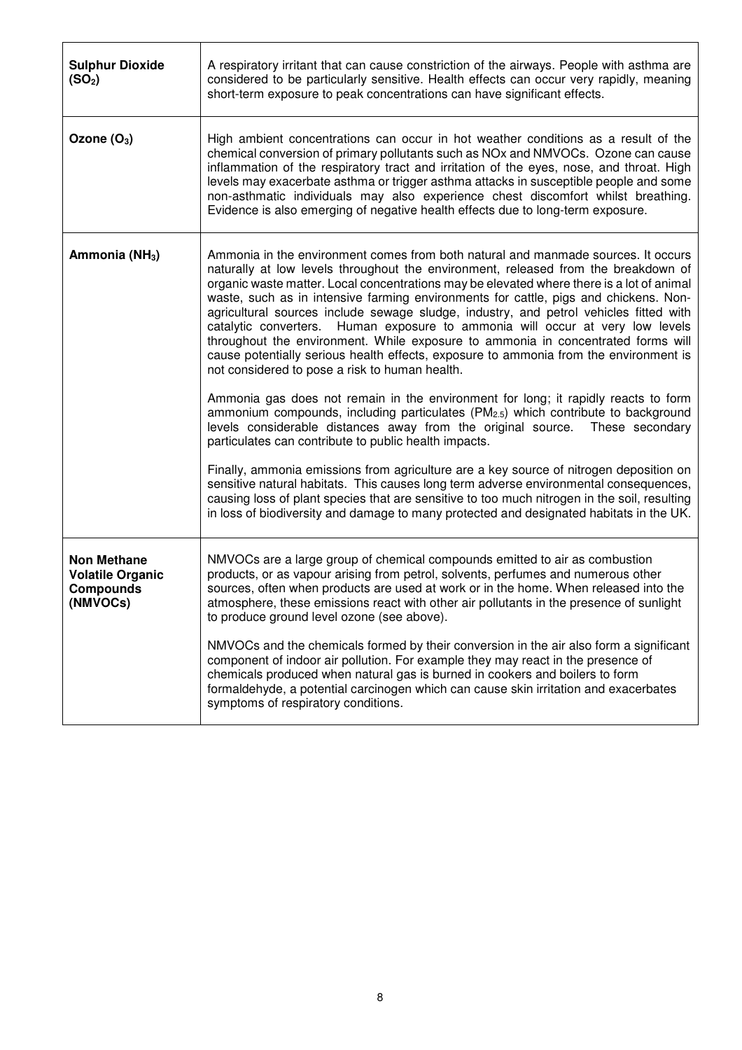| <b>Sulphur Dioxide</b><br>(SO <sub>2</sub> )                                  | A respiratory irritant that can cause constriction of the airways. People with asthma are<br>considered to be particularly sensitive. Health effects can occur very rapidly, meaning<br>short-term exposure to peak concentrations can have significant effects.                                                                                                                                                                                                                                                                                                                                                                                                                                                                                                                                                                                                                                                                                                                                                                                                                                             |
|-------------------------------------------------------------------------------|--------------------------------------------------------------------------------------------------------------------------------------------------------------------------------------------------------------------------------------------------------------------------------------------------------------------------------------------------------------------------------------------------------------------------------------------------------------------------------------------------------------------------------------------------------------------------------------------------------------------------------------------------------------------------------------------------------------------------------------------------------------------------------------------------------------------------------------------------------------------------------------------------------------------------------------------------------------------------------------------------------------------------------------------------------------------------------------------------------------|
| Ozone $(O_3)$                                                                 | High ambient concentrations can occur in hot weather conditions as a result of the<br>chemical conversion of primary pollutants such as NOx and NMVOCs. Ozone can cause<br>inflammation of the respiratory tract and irritation of the eyes, nose, and throat. High<br>levels may exacerbate asthma or trigger asthma attacks in susceptible people and some<br>non-asthmatic individuals may also experience chest discomfort whilst breathing.<br>Evidence is also emerging of negative health effects due to long-term exposure.                                                                                                                                                                                                                                                                                                                                                                                                                                                                                                                                                                          |
| Ammonia (NH <sub>3</sub> )                                                    | Ammonia in the environment comes from both natural and manmade sources. It occurs<br>naturally at low levels throughout the environment, released from the breakdown of<br>organic waste matter. Local concentrations may be elevated where there is a lot of animal<br>waste, such as in intensive farming environments for cattle, pigs and chickens. Non-<br>agricultural sources include sewage sludge, industry, and petrol vehicles fitted with<br>catalytic converters.<br>Human exposure to ammonia will occur at very low levels<br>throughout the environment. While exposure to ammonia in concentrated forms will<br>cause potentially serious health effects, exposure to ammonia from the environment is<br>not considered to pose a risk to human health.<br>Ammonia gas does not remain in the environment for long; it rapidly reacts to form<br>ammonium compounds, including particulates (PM <sub>2.5</sub> ) which contribute to background<br>levels considerable distances away from the original source.<br>These secondary<br>particulates can contribute to public health impacts. |
|                                                                               | Finally, ammonia emissions from agriculture are a key source of nitrogen deposition on<br>sensitive natural habitats. This causes long term adverse environmental consequences,<br>causing loss of plant species that are sensitive to too much nitrogen in the soil, resulting<br>in loss of biodiversity and damage to many protected and designated habitats in the UK.                                                                                                                                                                                                                                                                                                                                                                                                                                                                                                                                                                                                                                                                                                                                   |
| <b>Non Methane</b><br><b>Volatile Organic</b><br><b>Compounds</b><br>(NMVOCs) | NMVOCs are a large group of chemical compounds emitted to air as combustion<br>products, or as vapour arising from petrol, solvents, perfumes and numerous other<br>sources, often when products are used at work or in the home. When released into the<br>atmosphere, these emissions react with other air pollutants in the presence of sunlight<br>to produce ground level ozone (see above).                                                                                                                                                                                                                                                                                                                                                                                                                                                                                                                                                                                                                                                                                                            |
|                                                                               | NMVOCs and the chemicals formed by their conversion in the air also form a significant<br>component of indoor air pollution. For example they may react in the presence of<br>chemicals produced when natural gas is burned in cookers and boilers to form<br>formaldehyde, a potential carcinogen which can cause skin irritation and exacerbates<br>symptoms of respiratory conditions.                                                                                                                                                                                                                                                                                                                                                                                                                                                                                                                                                                                                                                                                                                                    |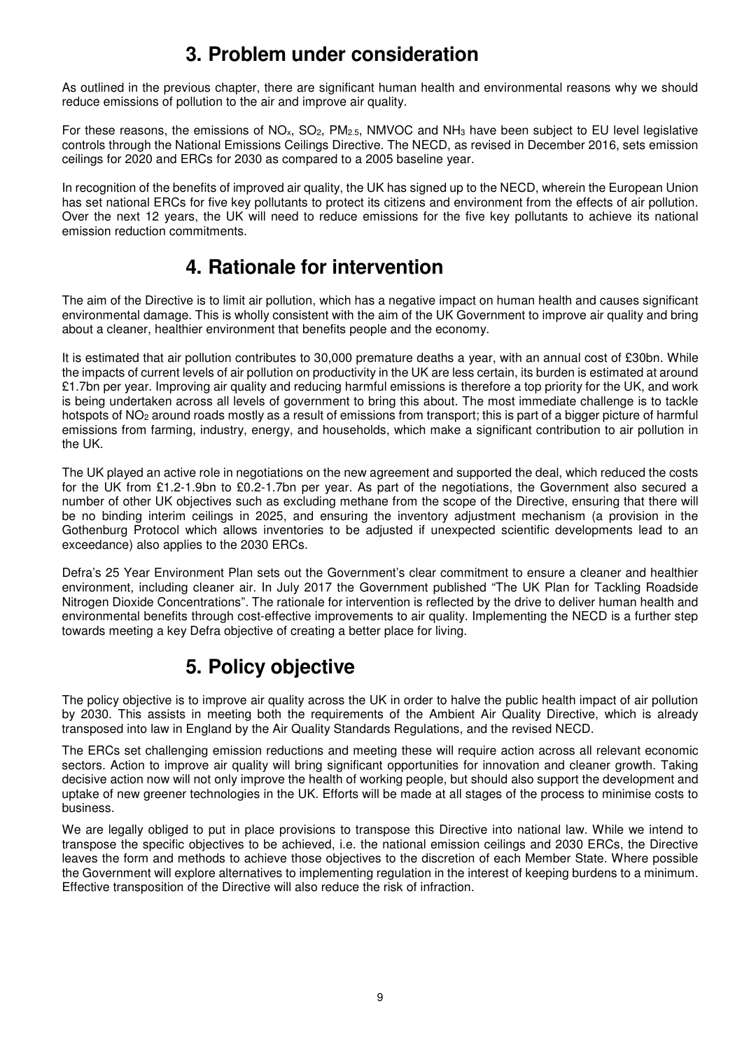## **3. Problem under consideration**

As outlined in the previous chapter, there are significant human health and environmental reasons why we should reduce emissions of pollution to the air and improve air quality.

For these reasons, the emissions of NO<sub>x</sub>, SO<sub>2</sub>, PM<sub>2.5</sub>, NMVOC and NH<sub>3</sub> have been subject to EU level legislative controls through the National Emissions Ceilings Directive. The NECD, as revised in December 2016, sets emission ceilings for 2020 and ERCs for 2030 as compared to a 2005 baseline year.

In recognition of the benefits of improved air quality, the UK has signed up to the NECD, wherein the European Union has set national ERCs for five key pollutants to protect its citizens and environment from the effects of air pollution. Over the next 12 years, the UK will need to reduce emissions for the five key pollutants to achieve its national emission reduction commitments.

## **4. Rationale for intervention**

The aim of the Directive is to limit air pollution, which has a negative impact on human health and causes significant environmental damage. This is wholly consistent with the aim of the UK Government to improve air quality and bring about a cleaner, healthier environment that benefits people and the economy.

It is estimated that air pollution contributes to 30,000 premature deaths a year, with an annual cost of £30bn. While the impacts of current levels of air pollution on productivity in the UK are less certain, its burden is estimated at around £1.7bn per year. Improving air quality and reducing harmful emissions is therefore a top priority for the UK, and work is being undertaken across all levels of government to bring this about. The most immediate challenge is to tackle hotspots of NO<sub>2</sub> around roads mostly as a result of emissions from transport; this is part of a bigger picture of harmful emissions from farming, industry, energy, and households, which make a significant contribution to air pollution in the UK.

The UK played an active role in negotiations on the new agreement and supported the deal, which reduced the costs for the UK from £1.2-1.9bn to £0.2-1.7bn per year. As part of the negotiations, the Government also secured a number of other UK objectives such as excluding methane from the scope of the Directive, ensuring that there will be no binding interim ceilings in 2025, and ensuring the inventory adjustment mechanism (a provision in the Gothenburg Protocol which allows inventories to be adjusted if unexpected scientific developments lead to an exceedance) also applies to the 2030 ERCs.

Defra's 25 Year Environment Plan sets out the Government's clear commitment to ensure a cleaner and healthier environment, including cleaner air. In July 2017 the Government published "The UK Plan for Tackling Roadside Nitrogen Dioxide Concentrations". The rationale for intervention is reflected by the drive to deliver human health and environmental benefits through cost-effective improvements to air quality. Implementing the NECD is a further step towards meeting a key Defra objective of creating a better place for living.

# **5. Policy objective**

The policy objective is to improve air quality across the UK in order to halve the public health impact of air pollution by 2030. This assists in meeting both the requirements of the Ambient Air Quality Directive, which is already transposed into law in England by the Air Quality Standards Regulations, and the revised NECD.

The ERCs set challenging emission reductions and meeting these will require action across all relevant economic sectors. Action to improve air quality will bring significant opportunities for innovation and cleaner growth. Taking decisive action now will not only improve the health of working people, but should also support the development and uptake of new greener technologies in the UK. Efforts will be made at all stages of the process to minimise costs to business.

We are legally obliged to put in place provisions to transpose this Directive into national law. While we intend to transpose the specific objectives to be achieved, i.e. the national emission ceilings and 2030 ERCs, the Directive leaves the form and methods to achieve those objectives to the discretion of each Member State. Where possible the Government will explore alternatives to implementing regulation in the interest of keeping burdens to a minimum. Effective transposition of the Directive will also reduce the risk of infraction.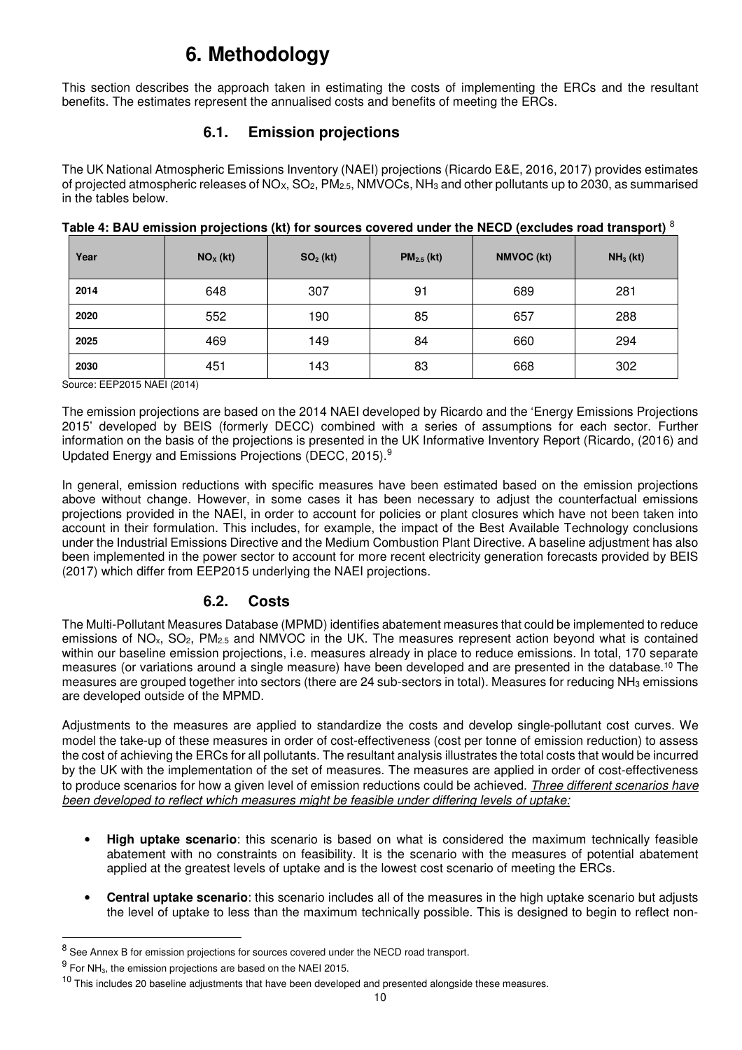# **6. Methodology**

This section describes the approach taken in estimating the costs of implementing the ERCs and the resultant benefits. The estimates represent the annualised costs and benefits of meeting the ERCs.

## **6.1. Emission projections**

The UK National Atmospheric Emissions Inventory (NAEI) projections (Ricardo E&E, 2016, 2017) provides estimates of projected atmospheric releases of NO<sub>X</sub>, SO<sub>2</sub>, PM<sub>2.5</sub>, NMVOCs, NH<sub>3</sub> and other pollutants up to 2030, as summarised in the tables below.

| Year | $NOx$ (kt) | $SO2$ (kt) | $PM2.5$ (kt) | <b>NMVOC (kt)</b> | $NH3$ (kt) |
|------|------------|------------|--------------|-------------------|------------|
| 2014 | 648        | 307        | 91           | 689               | 281        |
| 2020 | 552        | 190        | 85           | 657               | 288        |
| 2025 | 469        | 149        | 84           | 660               | 294        |
| 2030 | 451        | 143        | 83           | 668               | 302        |

**Table 4: BAU emission projections (kt) for sources covered under the NECD (excludes road transport)** <sup>8</sup>

Source: EEP2015 NAEI (2014)

The emission projections are based on the 2014 NAEI developed by Ricardo and the 'Energy Emissions Projections 2015' developed by BEIS (formerly DECC) combined with a series of assumptions for each sector. Further information on the basis of the projections is presented in the UK Informative Inventory Report (Ricardo, (2016) and Updated Energy and Emissions Projections (DECC, 2015).<sup>9</sup>

In general, emission reductions with specific measures have been estimated based on the emission projections above without change. However, in some cases it has been necessary to adjust the counterfactual emissions projections provided in the NAEI, in order to account for policies or plant closures which have not been taken into account in their formulation. This includes, for example, the impact of the Best Available Technology conclusions under the Industrial Emissions Directive and the Medium Combustion Plant Directive. A baseline adjustment has also been implemented in the power sector to account for more recent electricity generation forecasts provided by BEIS (2017) which differ from EEP2015 underlying the NAEI projections.

## **6.2. Costs**

The Multi-Pollutant Measures Database (MPMD) identifies abatement measures that could be implemented to reduce emissions of NO<sub>x</sub>, SO<sub>2</sub>, PM<sub>2.5</sub> and NMVOC in the UK. The measures represent action beyond what is contained within our baseline emission projections, i.e. measures already in place to reduce emissions. In total, 170 separate measures (or variations around a single measure) have been developed and are presented in the database.<sup>10</sup> The measures are grouped together into sectors (there are 24 sub-sectors in total). Measures for reducing NH<sub>3</sub> emissions are developed outside of the MPMD.

Adjustments to the measures are applied to standardize the costs and develop single-pollutant cost curves. We model the take-up of these measures in order of cost-effectiveness (cost per tonne of emission reduction) to assess the cost of achieving the ERCs for all pollutants. The resultant analysis illustrates the total costs that would be incurred by the UK with the implementation of the set of measures. The measures are applied in order of cost-effectiveness to produce scenarios for how a given level of emission reductions could be achieved. Three different scenarios have been developed to reflect which measures might be feasible under differing levels of uptake:

- **High uptake scenario**: this scenario is based on what is considered the maximum technically feasible abatement with no constraints on feasibility. It is the scenario with the measures of potential abatement applied at the greatest levels of uptake and is the lowest cost scenario of meeting the ERCs.
- **Central uptake scenario**: this scenario includes all of the measures in the high uptake scenario but adjusts the level of uptake to less than the maximum technically possible. This is designed to begin to reflect non-

-

<sup>8</sup> See Annex B for emission projections for sources covered under the NECD road transport.

 $^{9}$  For NH<sub>3</sub>, the emission projections are based on the NAEI 2015.

<sup>&</sup>lt;sup>10</sup> This includes 20 baseline adjustments that have been developed and presented alongside these measures.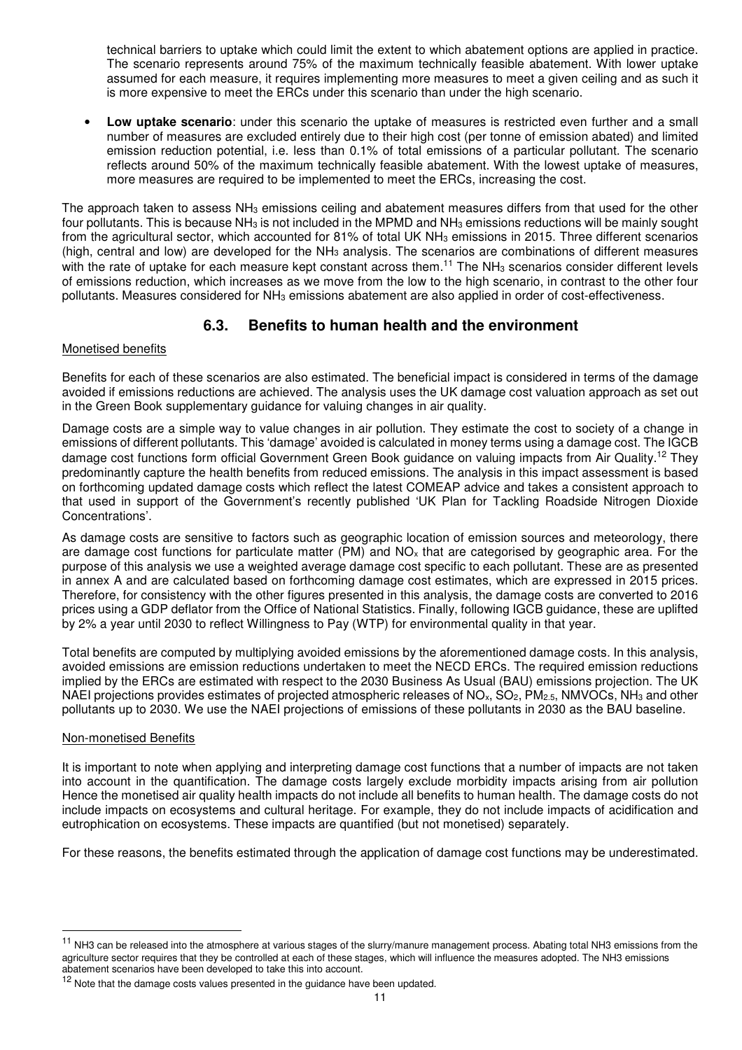technical barriers to uptake which could limit the extent to which abatement options are applied in practice. The scenario represents around 75% of the maximum technically feasible abatement. With lower uptake assumed for each measure, it requires implementing more measures to meet a given ceiling and as such it is more expensive to meet the ERCs under this scenario than under the high scenario.

• **Low uptake scenario**: under this scenario the uptake of measures is restricted even further and a small number of measures are excluded entirely due to their high cost (per tonne of emission abated) and limited emission reduction potential, i.e. less than 0.1% of total emissions of a particular pollutant. The scenario reflects around 50% of the maximum technically feasible abatement. With the lowest uptake of measures, more measures are required to be implemented to meet the ERCs, increasing the cost.

The approach taken to assess NH<sub>3</sub> emissions ceiling and abatement measures differs from that used for the other four pollutants. This is because NH<sub>3</sub> is not included in the MPMD and NH<sub>3</sub> emissions reductions will be mainly sought from the agricultural sector, which accounted for 81% of total UK NH<sub>3</sub> emissions in 2015. Three different scenarios (high, central and low) are developed for the NH<sub>3</sub> analysis. The scenarios are combinations of different measures with the rate of uptake for each measure kept constant across them.<sup>11</sup> The NH<sub>3</sub> scenarios consider different levels of emissions reduction, which increases as we move from the low to the high scenario, in contrast to the other four pollutants. Measures considered for NH3 emissions abatement are also applied in order of cost-effectiveness.

## **6.3. Benefits to human health and the environment**

### Monetised benefits

Benefits for each of these scenarios are also estimated. The beneficial impact is considered in terms of the damage avoided if emissions reductions are achieved. The analysis uses the UK damage cost valuation approach as set out in the Green Book supplementary guidance for valuing changes in air quality.

Damage costs are a simple way to value changes in air pollution. They estimate the cost to society of a change in emissions of different pollutants. This 'damage' avoided is calculated in money terms using a damage cost. The IGCB damage cost functions form official Government Green Book guidance on valuing impacts from Air Quality.<sup>12</sup> They predominantly capture the health benefits from reduced emissions. The analysis in this impact assessment is based on forthcoming updated damage costs which reflect the latest COMEAP advice and takes a consistent approach to that used in support of the Government's recently published 'UK Plan for Tackling Roadside Nitrogen Dioxide Concentrations'.

As damage costs are sensitive to factors such as geographic location of emission sources and meteorology, there are damage cost functions for particulate matter (PM) and NO<sub>x</sub> that are categorised by geographic area. For the purpose of this analysis we use a weighted average damage cost specific to each pollutant. These are as presented in annex A and are calculated based on forthcoming damage cost estimates, which are expressed in 2015 prices. Therefore, for consistency with the other figures presented in this analysis, the damage costs are converted to 2016 prices using a GDP deflator from the Office of National Statistics. Finally, following IGCB guidance, these are uplifted by 2% a year until 2030 to reflect Willingness to Pay (WTP) for environmental quality in that year.

Total benefits are computed by multiplying avoided emissions by the aforementioned damage costs. In this analysis, avoided emissions are emission reductions undertaken to meet the NECD ERCs. The required emission reductions implied by the ERCs are estimated with respect to the 2030 Business As Usual (BAU) emissions projection. The UK NAEI projections provides estimates of projected atmospheric releases of NO<sub>x</sub>, SO<sub>2</sub>, PM<sub>2.5</sub>, NMVOCs, NH<sub>3</sub> and other pollutants up to 2030. We use the NAEI projections of emissions of these pollutants in 2030 as the BAU baseline.

## Non-monetised Benefits

l

It is important to note when applying and interpreting damage cost functions that a number of impacts are not taken into account in the quantification. The damage costs largely exclude morbidity impacts arising from air pollution Hence the monetised air quality health impacts do not include all benefits to human health. The damage costs do not include impacts on ecosystems and cultural heritage. For example, they do not include impacts of acidification and eutrophication on ecosystems. These impacts are quantified (but not monetised) separately.

For these reasons, the benefits estimated through the application of damage cost functions may be underestimated.

<sup>&</sup>lt;sup>11</sup> NH3 can be released into the atmosphere at various stages of the slurry/manure management process. Abating total NH3 emissions from the agriculture sector requires that they be controlled at each of these stages, which will influence the measures adopted. The NH3 emissions abatement scenarios have been developed to take this into account.

 $12$  Note that the damage costs values presented in the guidance have been updated.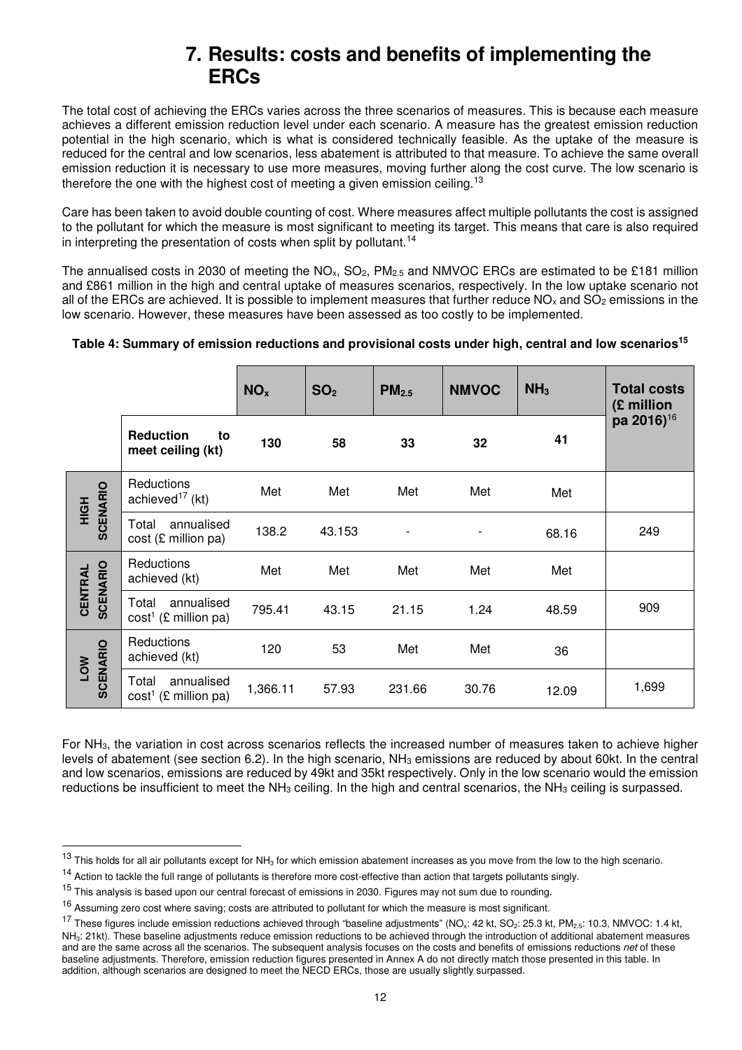## **7. Results: costs and benefits of implementing the ERCs**

The total cost of achieving the ERCs varies across the three scenarios of measures. This is because each measure achieves a different emission reduction level under each scenario. A measure has the greatest emission reduction potential in the high scenario, which is what is considered technically feasible. As the uptake of the measure is reduced for the central and low scenarios, less abatement is attributed to that measure. To achieve the same overall emission reduction it is necessary to use more measures, moving further along the cost curve. The low scenario is therefore the one with the highest cost of meeting a given emission ceiling.<sup>13</sup>

Care has been taken to avoid double counting of cost. Where measures affect multiple pollutants the cost is assigned to the pollutant for which the measure is most significant to meeting its target. This means that care is also required in interpreting the presentation of costs when split by pollutant.<sup>14</sup>

The annualised costs in 2030 of meeting the  $NO<sub>x</sub>$ ,  $SO<sub>2</sub>$ ,  $PM<sub>2.5</sub>$  and NMVOC ERCs are estimated to be £181 million and £861 million in the high and central uptake of measures scenarios, respectively. In the low uptake scenario not all of the ERCs are achieved. It is possible to implement measures that further reduce  $NO_x$  and  $SO_2$  emissions in the low scenario. However, these measures have been assessed as too costly to be implemented.

## **Table 4: Summary of emission reductions and provisional costs under high, central and low scenarios<sup>15</sup>**

|                            |                                               | NO <sub>x</sub> | SO <sub>2</sub> | PM <sub>2.5</sub>        | <b>NMVOC</b>   | NH <sub>3</sub> | <b>Total costs</b><br>(£ million |
|----------------------------|-----------------------------------------------|-----------------|-----------------|--------------------------|----------------|-----------------|----------------------------------|
|                            | <b>Reduction</b><br>to<br>meet ceiling (kt)   | 130             | 58              | 33                       | 32             | 41              | pa 2016) <sup>16</sup>           |
| <b>SCENARIO</b><br>HIGH    | Reductions<br>achieved <sup>17</sup> (kt)     | Met             | Met             | Met                      | Met            | Met             |                                  |
|                            | annualised<br>Total<br>cost (£ million pa)    | 138.2           | 43.153          | $\overline{\phantom{a}}$ | $\overline{a}$ | 68.16           | 249                              |
| <b>SCENARIO</b><br>CENTRAL | Reductions<br>achieved (kt)                   | Met             | Met             | Met                      | Met            | Met             |                                  |
|                            | annualised<br>Total<br>$cost1$ (£ million pa) | 795.41          | 43.15           | 21.15                    | 1.24           | 48.59           | 909                              |
| <b>SCENARIO</b><br>LOW     | Reductions<br>achieved (kt)                   | 120             | 53              | Met                      | Met            | 36              |                                  |
|                            | annualised<br>Total<br>$cost1$ (£ million pa) | 1,366.11        | 57.93           | 231.66                   | 30.76          | 12.09           | 1,699                            |

For NH3, the variation in cost across scenarios reflects the increased number of measures taken to achieve higher levels of abatement (see section 6.2). In the high scenario, NH<sub>3</sub> emissions are reduced by about 60kt. In the central and low scenarios, emissions are reduced by 49kt and 35kt respectively. Only in the low scenario would the emission reductions be insufficient to meet the NH<sub>3</sub> ceiling. In the high and central scenarios, the NH<sub>3</sub> ceiling is surpassed.

l

 $13$  This holds for all air pollutants except for NH<sub>3</sub> for which emission abatement increases as you move from the low to the high scenario.

<sup>&</sup>lt;sup>14</sup> Action to tackle the full range of pollutants is therefore more cost-effective than action that targets pollutants singly.

<sup>&</sup>lt;sup>15</sup> This analysis is based upon our central forecast of emissions in 2030. Figures may not sum due to rounding.

<sup>&</sup>lt;sup>16</sup> Assuming zero cost where saving; costs are attributed to pollutant for which the measure is most significant.

<sup>&</sup>lt;sup>17</sup> These figures include emission reductions achieved through "baseline adjustments" (NO<sub>x</sub>: 42 kt, SO<sub>2</sub>: 25.3 kt, PM<sub>2.5</sub>: 10.3, NMVOC: 1.4 kt, NH3: 21kt). These baseline adjustments reduce emission reductions to be achieved through the introduction of additional abatement measures and are the same across all the scenarios. The subsequent analysis focuses on the costs and benefits of emissions reductions net of these baseline adjustments. Therefore, emission reduction figures presented in Annex A do not directly match those presented in this table. In addition, although scenarios are designed to meet the NECD ERCs, those are usually slightly surpassed.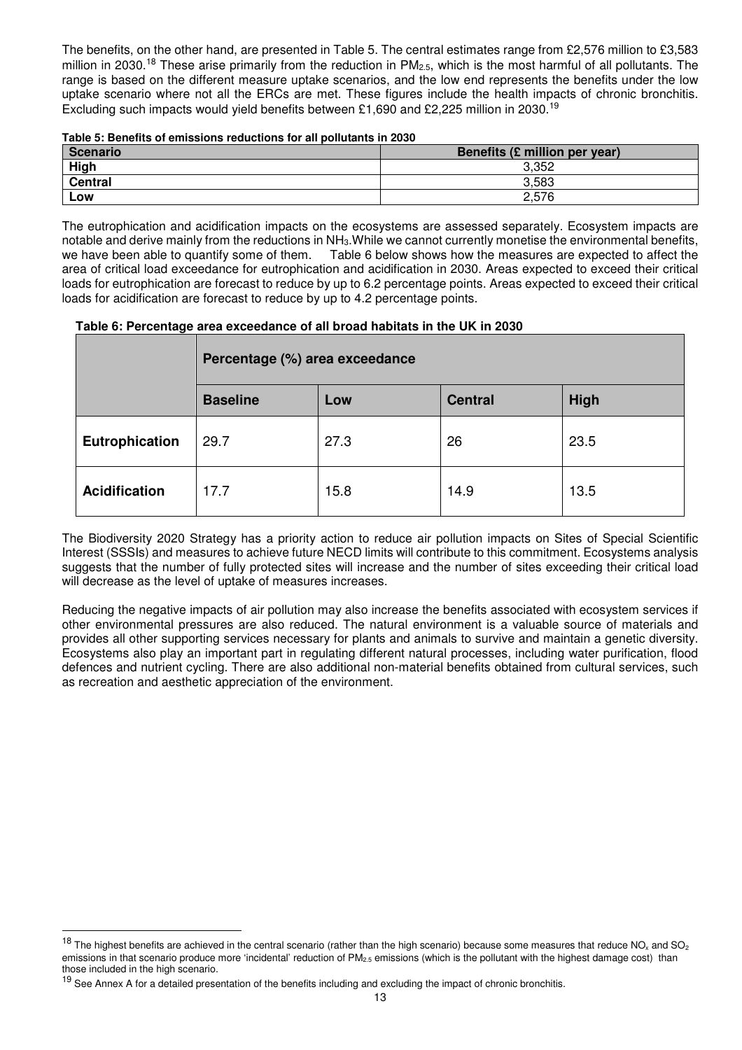The benefits, on the other hand, are presented in Table 5. The central estimates range from £2,576 million to £3,583 million in 2030.<sup>18</sup> These arise primarily from the reduction in PM<sub>2.5</sub>, which is the most harmful of all pollutants. The range is based on the different measure uptake scenarios, and the low end represents the benefits under the low uptake scenario where not all the ERCs are met. These figures include the health impacts of chronic bronchitis. Excluding such impacts would yield benefits between £1,690 and £2,225 million in 2030.<sup>19</sup>

| Table 5: Benefits of emissions reductions for all pollutants in 2030 |  |  |  |
|----------------------------------------------------------------------|--|--|--|
|                                                                      |  |  |  |

| Scenario       | Benefits (£ million per year) |
|----------------|-------------------------------|
| High           | 3.352                         |
| <b>Central</b> | 3,583                         |
| Low            | 2,576                         |

The eutrophication and acidification impacts on the ecosystems are assessed separately. Ecosystem impacts are notable and derive mainly from the reductions in NH<sub>3</sub>. While we cannot currently monetise the environmental benefits, we have been able to quantify some of them. Table 6 below shows how the measures are expected to affect Table 6 below shows how the measures are expected to affect the area of critical load exceedance for eutrophication and acidification in 2030. Areas expected to exceed their critical loads for eutrophication are forecast to reduce by up to 6.2 percentage points. Areas expected to exceed their critical loads for acidification are forecast to reduce by up to 4.2 percentage points.

 **Table 6: Percentage area exceedance of all broad habitats in the UK in 2030** 

|                       | Percentage (%) area exceedance |      |                |             |  |  |
|-----------------------|--------------------------------|------|----------------|-------------|--|--|
|                       | <b>Baseline</b>                | Low  | <b>Central</b> | <b>High</b> |  |  |
| <b>Eutrophication</b> | 29.7                           | 27.3 | 26             | 23.5        |  |  |
| <b>Acidification</b>  | 17.7                           | 15.8 | 14.9           | 13.5        |  |  |

The Biodiversity 2020 Strategy has a priority action to reduce air pollution impacts on Sites of Special Scientific Interest (SSSIs) and measures to achieve future NECD limits will contribute to this commitment. Ecosystems analysis suggests that the number of fully protected sites will increase and the number of sites exceeding their critical load will decrease as the level of uptake of measures increases.

Reducing the negative impacts of air pollution may also increase the benefits associated with ecosystem services if other environmental pressures are also reduced. The natural environment is a valuable source of materials and provides all other supporting services necessary for plants and animals to survive and maintain a genetic diversity. Ecosystems also play an important part in regulating different natural processes, including water purification, flood defences and nutrient cycling. There are also additional non-material benefits obtained from cultural services, such as recreation and aesthetic appreciation of the environment.

l

 $18$  The highest benefits are achieved in the central scenario (rather than the high scenario) because some measures that reduce NO<sub>x</sub> and SO<sub>2</sub> emissions in that scenario produce more 'incidental' reduction of  $PM_{2.5}$  emissions (which is the pollutant with the highest damage cost) than those included in the high scenario.

 $19$  See Annex A for a detailed presentation of the benefits including and excluding the impact of chronic bronchitis.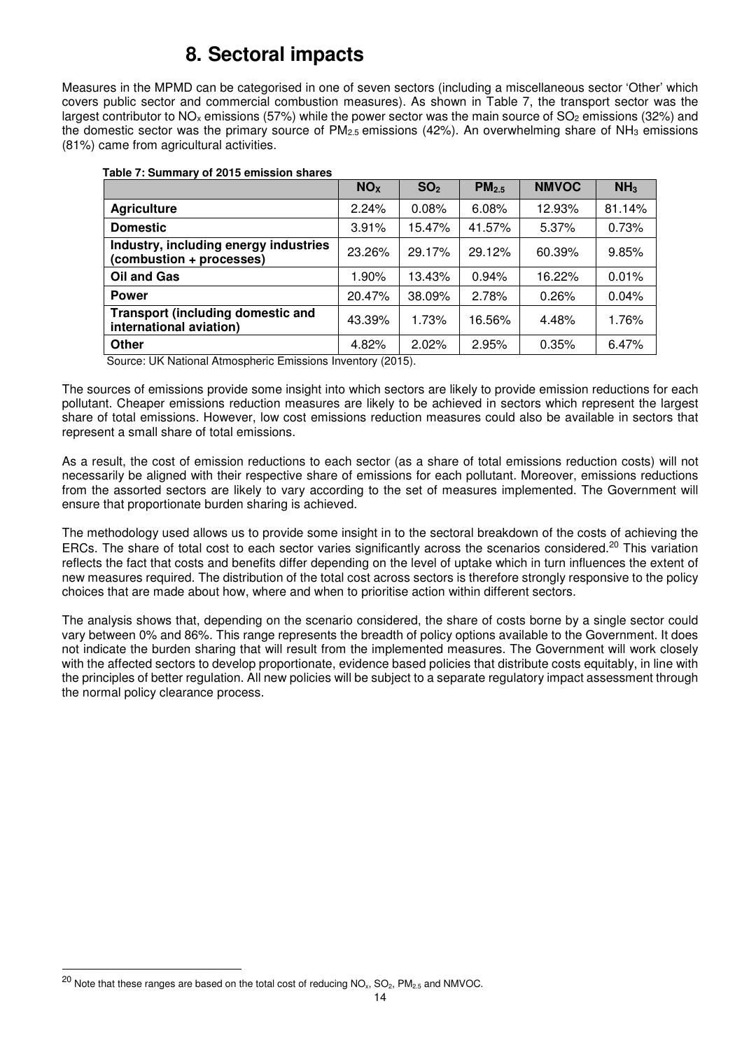# **8. Sectoral impacts**

Measures in the MPMD can be categorised in one of seven sectors (including a miscellaneous sector 'Other' which covers public sector and commercial combustion measures). As shown in Table 7, the transport sector was the largest contributor to NO<sub>x</sub> emissions (57%) while the power sector was the main source of SO<sub>2</sub> emissions (32%) and the domestic sector was the primary source of  $PM_{2.5}$  emissions (42%). An overwhelming share of  $NH_3$  emissions (81%) came from agricultural activities.

|                                                                     | NO <sub>x</sub> | SO <sub>2</sub> | PM <sub>2.5</sub> | <b>NMVOC</b> | NH <sub>3</sub> |
|---------------------------------------------------------------------|-----------------|-----------------|-------------------|--------------|-----------------|
| <b>Agriculture</b>                                                  | 2.24%           | 0.08%           | 6.08%             | 12.93%       | 81.14%          |
| <b>Domestic</b>                                                     | 3.91%           | 15.47%          | 41.57%            | 5.37%        | 0.73%           |
| Industry, including energy industries<br>(combustion + processes)   | 23.26%          | 29.17%          | 29.12%            | 60.39%       | 9.85%           |
| <b>Oil and Gas</b>                                                  | 1.90%           | 13.43%          | 0.94%             | 16.22%       | 0.01%           |
| <b>Power</b>                                                        | 20.47%          | 38.09%          | 2.78%             | 0.26%        | 0.04%           |
| <b>Transport (including domestic and</b><br>international aviation) | 43.39%          | 1.73%           | 16.56%            | 4.48%        | 1.76%           |
| Other                                                               | 4.82%           | 2.02%           | 2.95%             | 0.35%        | 6.47%           |

#### **Table 7: Summary of 2015 emission shares**

Source: UK National Atmospheric Emissions Inventory (2015).

The sources of emissions provide some insight into which sectors are likely to provide emission reductions for each pollutant. Cheaper emissions reduction measures are likely to be achieved in sectors which represent the largest share of total emissions. However, low cost emissions reduction measures could also be available in sectors that represent a small share of total emissions.

As a result, the cost of emission reductions to each sector (as a share of total emissions reduction costs) will not necessarily be aligned with their respective share of emissions for each pollutant. Moreover, emissions reductions from the assorted sectors are likely to vary according to the set of measures implemented. The Government will ensure that proportionate burden sharing is achieved.

The methodology used allows us to provide some insight in to the sectoral breakdown of the costs of achieving the ERCs. The share of total cost to each sector varies significantly across the scenarios considered.<sup>20</sup> This variation reflects the fact that costs and benefits differ depending on the level of uptake which in turn influences the extent of new measures required. The distribution of the total cost across sectors is therefore strongly responsive to the policy choices that are made about how, where and when to prioritise action within different sectors.

The analysis shows that, depending on the scenario considered, the share of costs borne by a single sector could vary between 0% and 86%. This range represents the breadth of policy options available to the Government. It does not indicate the burden sharing that will result from the implemented measures. The Government will work closely with the affected sectors to develop proportionate, evidence based policies that distribute costs equitably, in line with the principles of better regulation. All new policies will be subject to a separate regulatory impact assessment through the normal policy clearance process.

l

 $^{20}$  Note that these ranges are based on the total cost of reducing NO<sub>x</sub>, SO<sub>2</sub>, PM<sub>2.5</sub> and NMVOC.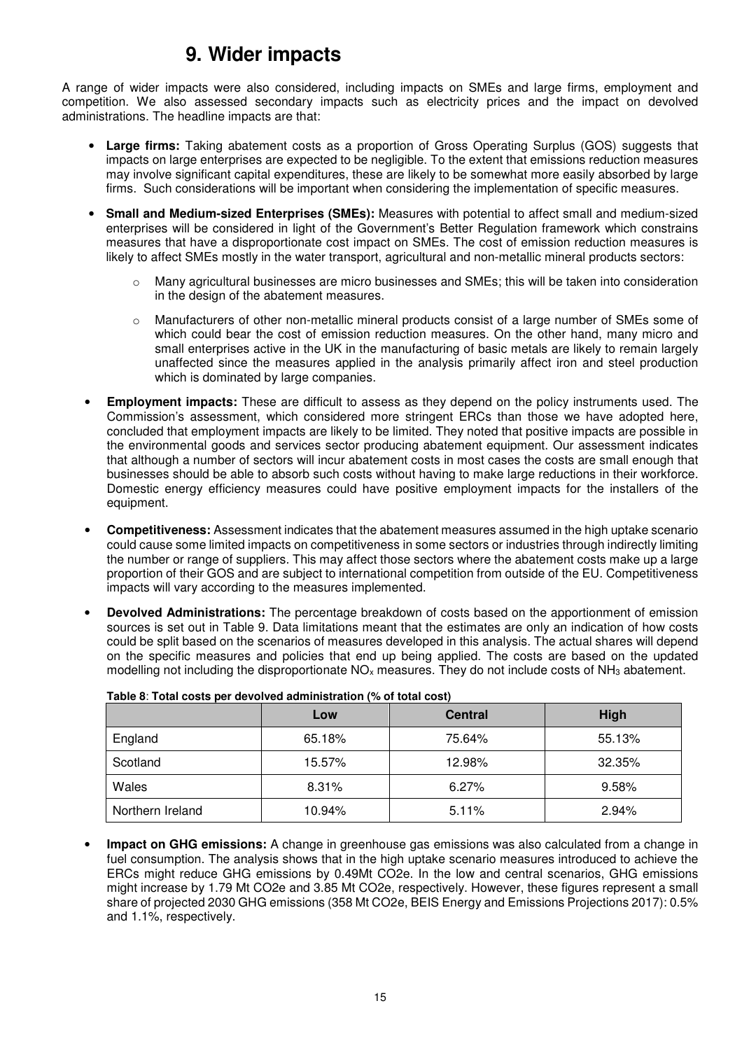# **9. Wider impacts**

A range of wider impacts were also considered, including impacts on SMEs and large firms, employment and competition. We also assessed secondary impacts such as electricity prices and the impact on devolved administrations. The headline impacts are that:

- **Large firms:** Taking abatement costs as a proportion of Gross Operating Surplus (GOS) suggests that impacts on large enterprises are expected to be negligible. To the extent that emissions reduction measures may involve significant capital expenditures, these are likely to be somewhat more easily absorbed by large firms. Such considerations will be important when considering the implementation of specific measures.
- **Small and Medium-sized Enterprises (SMEs):** Measures with potential to affect small and medium-sized enterprises will be considered in light of the Government's Better Regulation framework which constrains measures that have a disproportionate cost impact on SMEs. The cost of emission reduction measures is likely to affect SMEs mostly in the water transport, agricultural and non-metallic mineral products sectors:
	- $\circ$  Many agricultural businesses are micro businesses and SMEs; this will be taken into consideration in the design of the abatement measures.
	- o Manufacturers of other non-metallic mineral products consist of a large number of SMEs some of which could bear the cost of emission reduction measures. On the other hand, many micro and small enterprises active in the UK in the manufacturing of basic metals are likely to remain largely unaffected since the measures applied in the analysis primarily affect iron and steel production which is dominated by large companies.
- **Employment impacts:** These are difficult to assess as they depend on the policy instruments used. The Commission's assessment, which considered more stringent ERCs than those we have adopted here, concluded that employment impacts are likely to be limited. They noted that positive impacts are possible in the environmental goods and services sector producing abatement equipment. Our assessment indicates that although a number of sectors will incur abatement costs in most cases the costs are small enough that businesses should be able to absorb such costs without having to make large reductions in their workforce. Domestic energy efficiency measures could have positive employment impacts for the installers of the equipment.
- **Competitiveness:** Assessment indicates that the abatement measures assumed in the high uptake scenario could cause some limited impacts on competitiveness in some sectors or industries through indirectly limiting the number or range of suppliers. This may affect those sectors where the abatement costs make up a large proportion of their GOS and are subject to international competition from outside of the EU. Competitiveness impacts will vary according to the measures implemented.
- **Devolved Administrations:** The percentage breakdown of costs based on the apportionment of emission sources is set out in Table 9. Data limitations meant that the estimates are only an indication of how costs could be split based on the scenarios of measures developed in this analysis. The actual shares will depend on the specific measures and policies that end up being applied. The costs are based on the updated modelling not including the disproportionate  $NO<sub>x</sub>$  measures. They do not include costs of  $NH<sub>3</sub>$  abatement.

|                  | Low    | <b>Central</b> | High   |
|------------------|--------|----------------|--------|
| England          | 65.18% | 75.64%         | 55.13% |
| Scotland         | 15.57% | 12.98%         | 32.35% |
| Wales            | 8.31%  | 6.27%          | 9.58%  |
| Northern Ireland | 10.94% | 5.11%          | 2.94%  |

• **Impact on GHG emissions:** A change in greenhouse gas emissions was also calculated from a change in fuel consumption. The analysis shows that in the high uptake scenario measures introduced to achieve the ERCs might reduce GHG emissions by 0.49Mt CO2e. In the low and central scenarios, GHG emissions might increase by 1.79 Mt CO2e and 3.85 Mt CO2e, respectively. However, these figures represent a small share of projected 2030 GHG emissions (358 Mt CO2e, BEIS Energy and Emissions Projections 2017): 0.5% and 1.1%, respectively.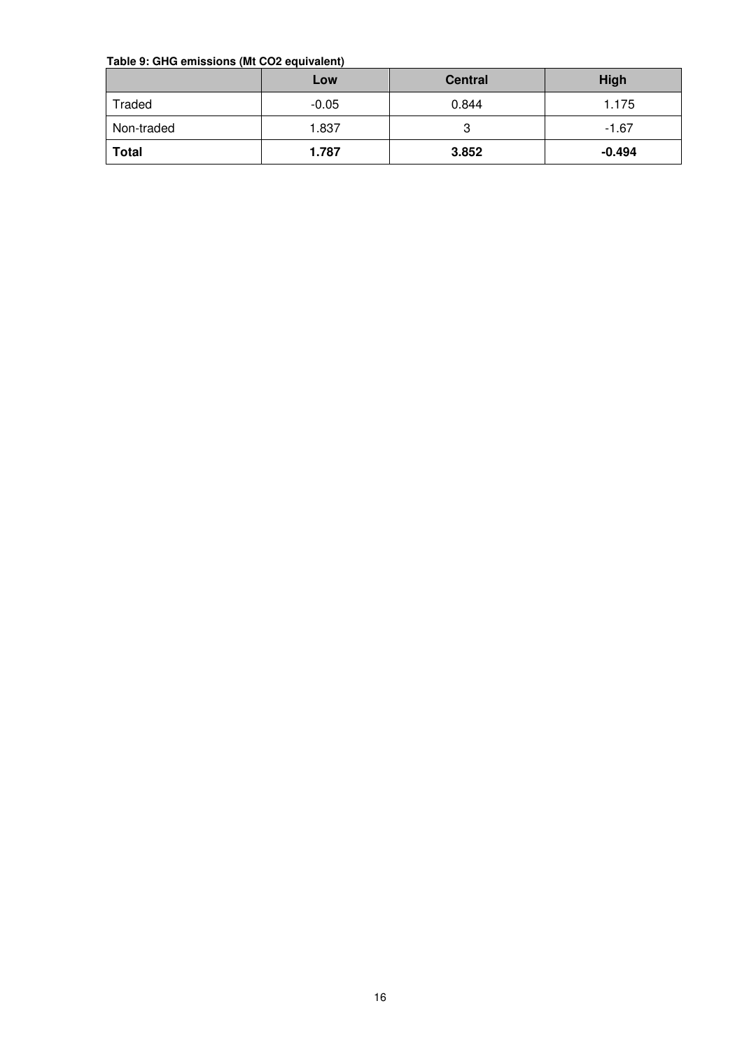#### **Table 9: GHG emissions (Mt CO2 equivalent)**

|              | Low     | <b>Central</b> | <b>High</b> |
|--------------|---------|----------------|-------------|
| Traded       | $-0.05$ | 0.844          | 1.175       |
| Non-traded   | 1.837   | ت              | $-1.67$     |
| <b>Total</b> | 1.787   | 3.852          | $-0.494$    |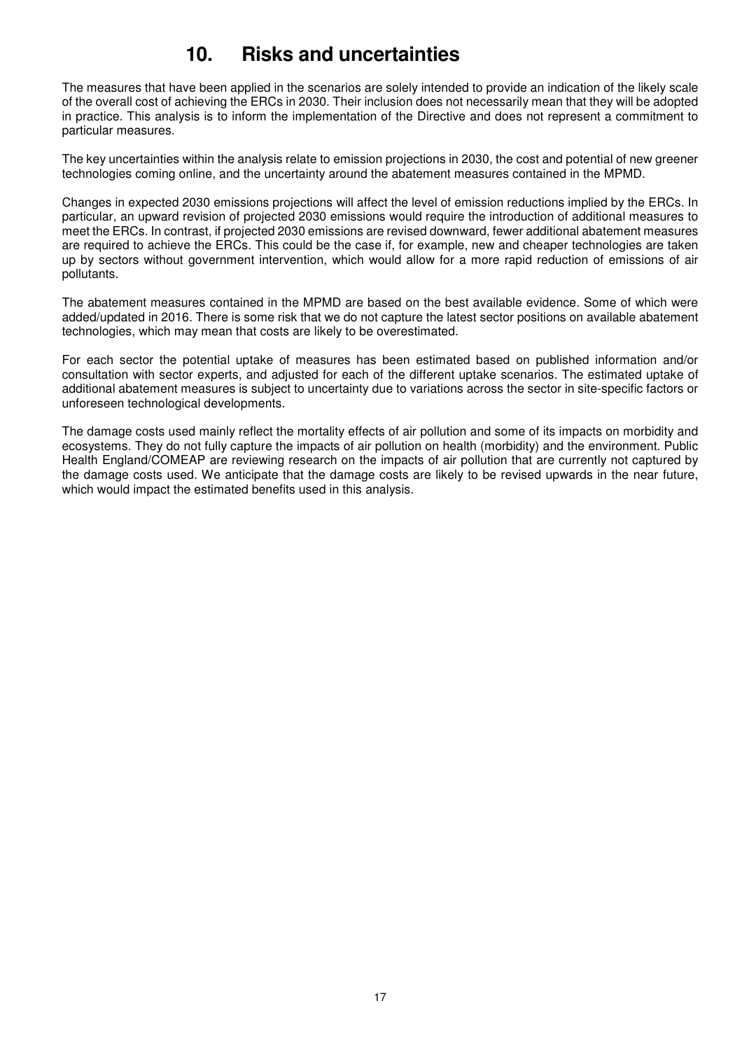# **10. Risks and uncertainties**

The measures that have been applied in the scenarios are solely intended to provide an indication of the likely scale of the overall cost of achieving the ERCs in 2030. Their inclusion does not necessarily mean that they will be adopted in practice. This analysis is to inform the implementation of the Directive and does not represent a commitment to particular measures.

The key uncertainties within the analysis relate to emission projections in 2030, the cost and potential of new greener technologies coming online, and the uncertainty around the abatement measures contained in the MPMD.

Changes in expected 2030 emissions projections will affect the level of emission reductions implied by the ERCs. In particular, an upward revision of projected 2030 emissions would require the introduction of additional measures to meet the ERCs. In contrast, if projected 2030 emissions are revised downward, fewer additional abatement measures are required to achieve the ERCs. This could be the case if, for example, new and cheaper technologies are taken up by sectors without government intervention, which would allow for a more rapid reduction of emissions of air pollutants.

The abatement measures contained in the MPMD are based on the best available evidence. Some of which were added/updated in 2016. There is some risk that we do not capture the latest sector positions on available abatement technologies, which may mean that costs are likely to be overestimated.

For each sector the potential uptake of measures has been estimated based on published information and/or consultation with sector experts, and adjusted for each of the different uptake scenarios. The estimated uptake of additional abatement measures is subject to uncertainty due to variations across the sector in site-specific factors or unforeseen technological developments.

The damage costs used mainly reflect the mortality effects of air pollution and some of its impacts on morbidity and ecosystems. They do not fully capture the impacts of air pollution on health (morbidity) and the environment. Public Health England/COMEAP are reviewing research on the impacts of air pollution that are currently not captured by the damage costs used. We anticipate that the damage costs are likely to be revised upwards in the near future, which would impact the estimated benefits used in this analysis.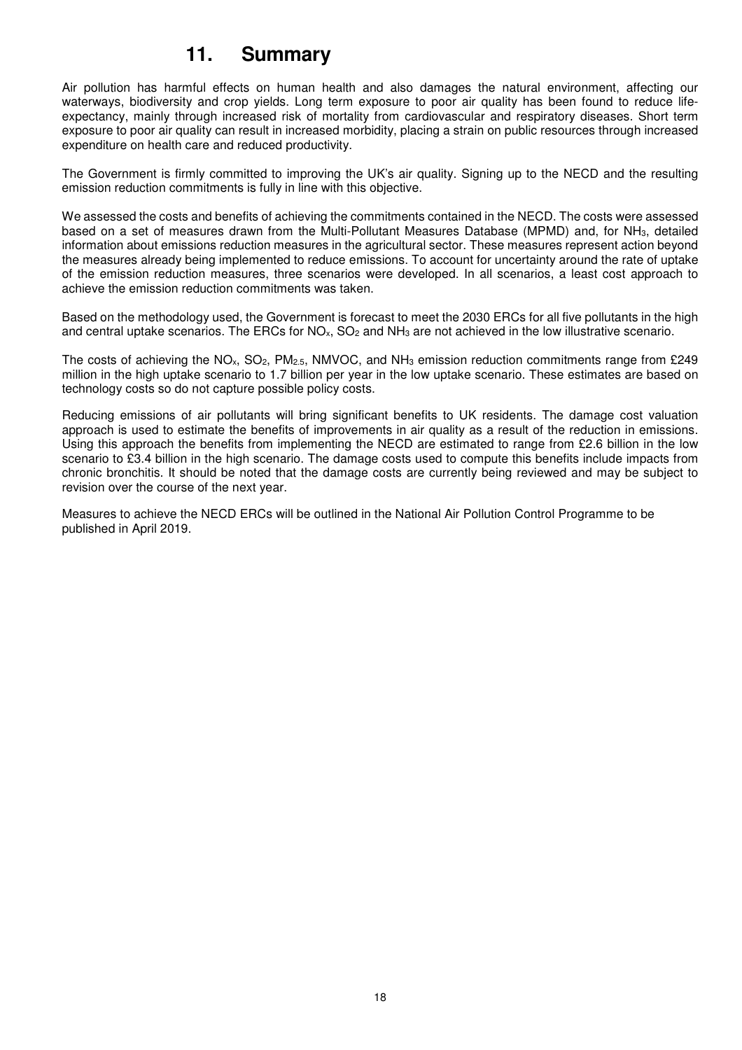## **11. Summary**

Air pollution has harmful effects on human health and also damages the natural environment, affecting our waterways, biodiversity and crop yields. Long term exposure to poor air quality has been found to reduce lifeexpectancy, mainly through increased risk of mortality from cardiovascular and respiratory diseases. Short term exposure to poor air quality can result in increased morbidity, placing a strain on public resources through increased expenditure on health care and reduced productivity.

The Government is firmly committed to improving the UK's air quality. Signing up to the NECD and the resulting emission reduction commitments is fully in line with this objective.

We assessed the costs and benefits of achieving the commitments contained in the NECD. The costs were assessed based on a set of measures drawn from the Multi-Pollutant Measures Database (MPMD) and, for NH3, detailed information about emissions reduction measures in the agricultural sector. These measures represent action beyond the measures already being implemented to reduce emissions. To account for uncertainty around the rate of uptake of the emission reduction measures, three scenarios were developed. In all scenarios, a least cost approach to achieve the emission reduction commitments was taken.

Based on the methodology used, the Government is forecast to meet the 2030 ERCs for all five pollutants in the high and central uptake scenarios. The ERCs for  $NO_x$ ,  $SO_2$  and  $NH_3$  are not achieved in the low illustrative scenario.

The costs of achieving the NO<sub>x</sub>, SO<sub>2</sub>, PM<sub>2.5</sub>, NMVOC, and NH<sub>3</sub> emission reduction commitments range from £249 million in the high uptake scenario to 1.7 billion per year in the low uptake scenario. These estimates are based on technology costs so do not capture possible policy costs.

Reducing emissions of air pollutants will bring significant benefits to UK residents. The damage cost valuation approach is used to estimate the benefits of improvements in air quality as a result of the reduction in emissions. Using this approach the benefits from implementing the NECD are estimated to range from £2.6 billion in the low scenario to £3.4 billion in the high scenario. The damage costs used to compute this benefits include impacts from chronic bronchitis. It should be noted that the damage costs are currently being reviewed and may be subject to revision over the course of the next year.

Measures to achieve the NECD ERCs will be outlined in the National Air Pollution Control Programme to be published in April 2019.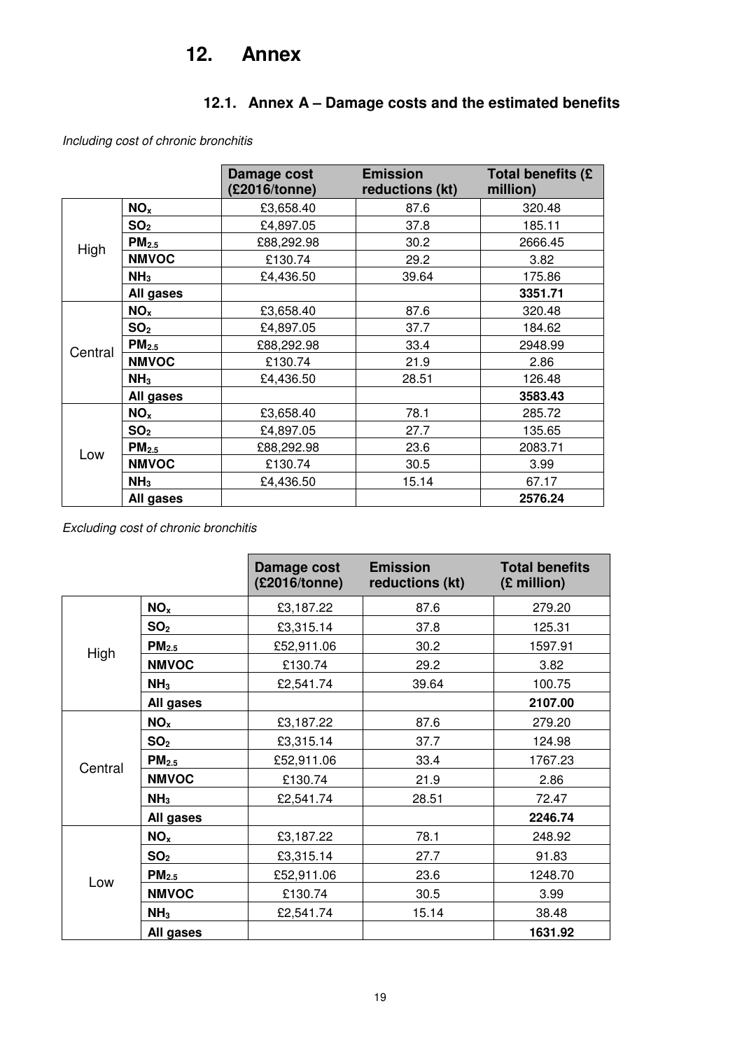## **12. Annex**

## **12.1. Annex A – Damage costs and the estimated benefits**

Including cost of chronic bronchitis

|         |                   | Damage cost<br>(£2016/tonne) | <b>Emission</b><br>reductions (kt) | Total benefits (£<br>million) |
|---------|-------------------|------------------------------|------------------------------------|-------------------------------|
|         | NO <sub>x</sub>   | £3,658.40                    | 87.6                               | 320.48                        |
|         | SO <sub>2</sub>   | £4,897.05                    | 37.8                               | 185.11                        |
| High    | PM <sub>2.5</sub> | £88,292.98                   | 30.2                               | 2666.45                       |
|         | <b>NMVOC</b>      | £130.74                      | 29.2                               | 3.82                          |
|         | NH <sub>3</sub>   | £4,436.50                    | 39.64                              | 175.86                        |
|         | All gases         |                              |                                    | 3351.71                       |
|         | NO <sub>x</sub>   | £3,658.40                    | 87.6                               | 320.48                        |
|         | SO <sub>2</sub>   | £4,897.05                    | 37.7                               | 184.62                        |
| Central | PM <sub>2.5</sub> | £88,292.98                   | 33.4                               | 2948.99                       |
|         | <b>NMVOC</b>      | £130.74                      | 21.9                               | 2.86                          |
|         | NH <sub>3</sub>   | £4,436.50                    | 28.51                              | 126.48                        |
|         | All gases         |                              |                                    | 3583.43                       |
|         | NO <sub>x</sub>   | £3,658.40                    | 78.1                               | 285.72                        |
| Low     | SO <sub>2</sub>   | £4,897.05                    | 27.7                               | 135.65                        |
|         | PM <sub>2.5</sub> | £88,292.98                   | 23.6                               | 2083.71                       |
|         | <b>NMVOC</b>      | £130.74                      | 30.5                               | 3.99                          |
|         | NH <sub>3</sub>   | £4,436.50                    | 15.14                              | 67.17                         |
|         | All gases         |                              |                                    | 2576.24                       |

Excluding cost of chronic bronchitis

|         |                   | Damage cost<br>(£2016/tonne) | <b>Emission</b><br>reductions (kt) | <b>Total benefits</b><br>(£ million) |
|---------|-------------------|------------------------------|------------------------------------|--------------------------------------|
|         | NO <sub>x</sub>   | £3,187.22                    | 87.6                               | 279.20                               |
|         | SO <sub>2</sub>   | £3,315.14                    | 37.8                               | 125.31                               |
| High    | PM <sub>2.5</sub> | £52,911.06                   | 30.2                               | 1597.91                              |
|         | <b>NMVOC</b>      | £130.74                      | 29.2                               | 3.82                                 |
|         | NH <sub>3</sub>   | £2,541.74                    | 39.64                              | 100.75                               |
|         | All gases         |                              |                                    | 2107.00                              |
|         | NO <sub>x</sub>   | £3,187.22                    | 87.6                               | 279.20                               |
|         | SO <sub>2</sub>   | £3,315.14                    | 37.7                               | 124.98                               |
| Central | PM <sub>2.5</sub> | £52,911.06                   | 33.4                               | 1767.23                              |
|         | <b>NMVOC</b>      | £130.74                      | 21.9                               | 2.86                                 |
|         | NH <sub>3</sub>   | £2,541.74                    | 28.51                              | 72.47                                |
|         | All gases         |                              |                                    | 2246.74                              |
|         | NO <sub>x</sub>   | £3,187.22                    | 78.1                               | 248.92                               |
| Low     | SO <sub>2</sub>   | £3,315.14                    | 27.7                               | 91.83                                |
|         | PM <sub>2.5</sub> | £52,911.06                   | 23.6                               | 1248.70                              |
|         | <b>NMVOC</b>      | £130.74                      | 30.5                               | 3.99                                 |
|         | NH <sub>3</sub>   | £2,541.74                    | 15.14                              | 38.48                                |
|         | All gases         |                              |                                    | 1631.92                              |